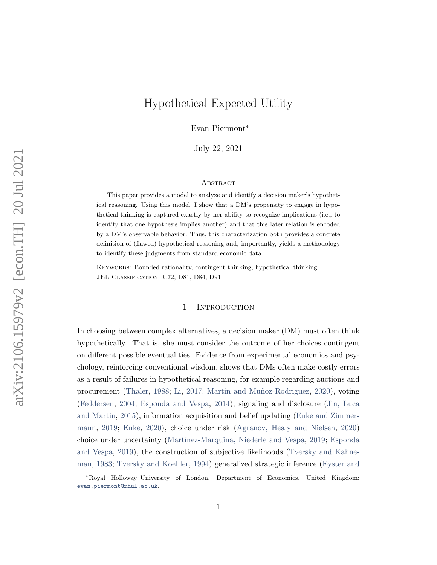# Hypothetical Expected Utility

Evan Piermont<sup>∗</sup>

July 22, 2021

#### **ABSTRACT**

This paper provides a model to analyze and identify a decision maker's hypothetical reasoning. Using this model, I show that a DM's propensity to engage in hypothetical thinking is captured exactly by her ability to recognize implications (i.e., to identify that one hypothesis implies another) and that this later relation is encoded by a DM's observable behavior. Thus, this characterization both provides a concrete definition of (flawed) hypothetical reasoning and, importantly, yields a methodology to identify these judgments from standard economic data.

KEYWORDS: Bounded rationality, contingent thinking, hypothetical thinking. JEL Classification: C72, D81, D84, D91.

## 1 INTRODUCTION

In choosing between complex alternatives, a decision maker (DM) must often think hypothetically. That is, she must consider the outcome of her choices contingent on different possible eventualities. Evidence from experimental economics and psychology, reinforcing conventional wisdom, shows that DMs often make costly errors as a result of failures in hypothetical reasoning, for example regarding auctions and procurement [\(Thaler,](#page-29-0) [1988;](#page-29-0) [Li,](#page-28-0) [2017;](#page-28-0) Martin and Muñoz-Rodriguez, [2020\)](#page-29-1), voting [\(Feddersen,](#page-28-1) [2004;](#page-28-1) [Esponda and Vespa,](#page-28-2) [2014\)](#page-28-2), signaling and disclosure [\(Jin, Luca](#page-28-3) [and Martin,](#page-28-3) [2015\)](#page-28-3), information acquisition and belief updating [\(Enke and Zimmer](#page-28-4)[mann,](#page-28-4) [2019;](#page-28-4) [Enke,](#page-28-5) [2020\)](#page-28-5), choice under risk [\(Agranov, Healy and Nielsen,](#page-28-6) [2020\)](#page-28-6) choice under uncertainty [\(Mart´ınez-Marquina, Niederle and Vespa,](#page-29-2) [2019;](#page-29-2) [Esponda](#page-28-7) [and Vespa,](#page-28-7) [2019\)](#page-28-7), the construction of subjective likelihoods [\(Tversky and Kahne](#page-29-3)[man,](#page-29-3) [1983;](#page-29-3) [Tversky and Koehler,](#page-29-4) [1994\)](#page-29-4) generalized strategic inference [\(Eyster and](#page-28-8)

<sup>∗</sup>[Royal Holloway–University of London, Department of Economics, United Kingdom;](#page-28-8) [evan.piermont@rhul.ac.uk](#page-28-8).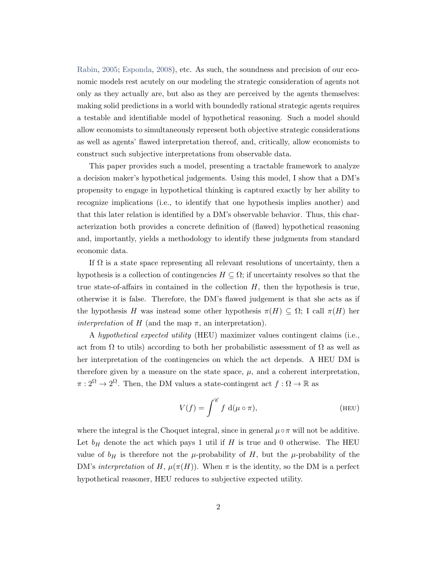[Rabin,](#page-28-8) [2005;](#page-28-8) [Esponda,](#page-28-9) [2008\)](#page-28-9), etc. As such, the soundness and precision of our economic models rest acutely on our modeling the strategic consideration of agents not only as they actually are, but also as they are perceived by the agents themselves: making solid predictions in a world with boundedly rational strategic agents requires a testable and identifiable model of hypothetical reasoning. Such a model should allow economists to simultaneously represent both objective strategic considerations as well as agents' flawed interpretation thereof, and, critically, allow economists to construct such subjective interpretations from observable data.

This paper provides such a model, presenting a tractable framework to analyze a decision maker's hypothetical judgements. Using this model, I show that a DM's propensity to engage in hypothetical thinking is captured exactly by her ability to recognize implications (i.e., to identify that one hypothesis implies another) and that this later relation is identified by a DM's observable behavior. Thus, this characterization both provides a concrete definition of (flawed) hypothetical reasoning and, importantly, yields a methodology to identify these judgments from standard economic data.

If  $\Omega$  is a state space representing all relevant resolutions of uncertainty, then a hypothesis is a collection of contingencies  $H \subseteq \Omega$ ; if uncertainty resolves so that the true state-of-affairs in contained in the collection  $H$ , then the hypothesis is true, otherwise it is false. Therefore, the DM's flawed judgement is that she acts as if the hypothesis H was instead some other hypothesis  $\pi(H) \subseteq \Omega$ ; I call  $\pi(H)$  her *interpretation* of H (and the map  $\pi$ , an interpretation).

A hypothetical expected utility (HEU) maximizer values contingent claims (i.e., act from  $\Omega$  to utils) according to both her probabilistic assessment of  $\Omega$  as well as her interpretation of the contingencies on which the act depends. A HEU DM is therefore given by a measure on the state space,  $\mu$ , and a coherent interpretation,  $\pi: 2^{\Omega} \to 2^{\Omega}$ . Then, the DM values a state-contingent act  $f: \Omega \to \mathbb{R}$  as

$$
V(f) = \int^{\mathscr{C}} f \, \mathrm{d}(\mu \circ \pi), \tag{HEU}
$$

where the integral is the Choquet integral, since in general  $\mu \circ \pi$  will not be additive. Let  $b_H$  denote the act which pays 1 util if H is true and 0 otherwise. The HEU value of  $b_H$  is therefore not the  $\mu$ -probability of H, but the  $\mu$ -probability of the DM's interpretation of H,  $\mu(\pi(H))$ . When  $\pi$  is the identity, so the DM is a perfect hypothetical reasoner, HEU reduces to subjective expected utility.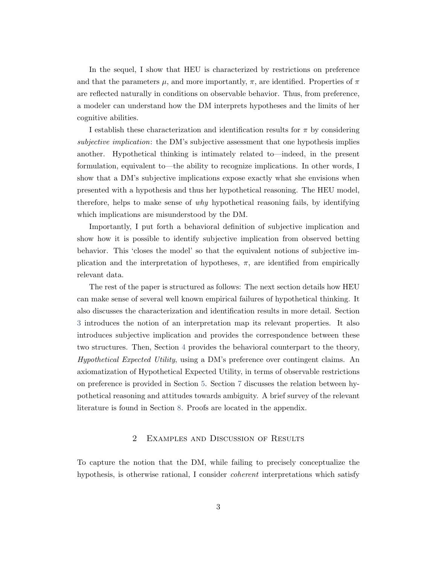In the sequel, I show that HEU is characterized by restrictions on preference and that the parameters  $\mu$ , and more importantly,  $\pi$ , are identified. Properties of  $\pi$ are reflected naturally in conditions on observable behavior. Thus, from preference, a modeler can understand how the DM interprets hypotheses and the limits of her cognitive abilities.

I establish these characterization and identification results for  $\pi$  by considering subjective implication: the DM's subjective assessment that one hypothesis implies another. Hypothetical thinking is intimately related to—indeed, in the present formulation, equivalent to—the ability to recognize implications. In other words, I show that a DM's subjective implications expose exactly what she envisions when presented with a hypothesis and thus her hypothetical reasoning. The HEU model, therefore, helps to make sense of why hypothetical reasoning fails, by identifying which implications are misunderstood by the DM.

Importantly, I put forth a behavioral definition of subjective implication and show how it is possible to identify subjective implication from observed betting behavior. This 'closes the model' so that the equivalent notions of subjective implication and the interpretation of hypotheses,  $\pi$ , are identified from empirically relevant data.

The rest of the paper is structured as follows: The next section details how HEU can make sense of several well known empirical failures of hypothetical thinking. It also discusses the characterization and identification results in more detail. Section [3](#page-11-0) introduces the notion of an interpretation map its relevant properties. It also introduces subjective implication and provides the correspondence between these two structures. Then, Section [4](#page-14-0) provides the behavioral counterpart to the theory, Hypothetical Expected Utility, using a DM's preference over contingent claims. An axiomatization of Hypothetical Expected Utility, in terms of observable restrictions on preference is provided in Section [5.](#page-16-0) Section [7](#page-19-0) discusses the relation between hypothetical reasoning and attitudes towards ambiguity. A brief survey of the relevant literature is found in Section [8.](#page-20-0) Proofs are located in the appendix.

## 2 Examples and Discussion of Results

To capture the notion that the DM, while failing to precisely conceptualize the hypothesis, is otherwise rational, I consider coherent interpretations which satisfy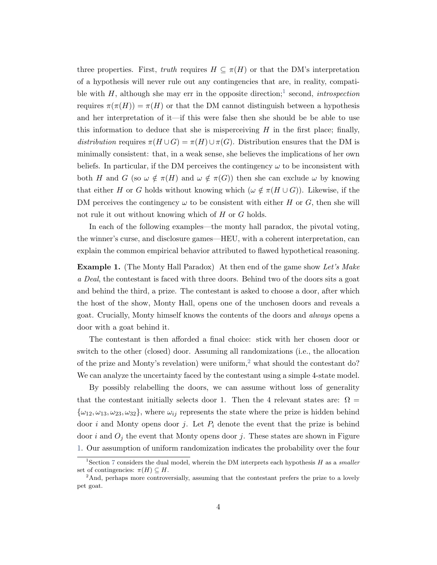three properties. First, truth requires  $H \subseteq \pi(H)$  or that the DM's interpretation of a hypothesis will never rule out any contingencies that are, in reality, compatible with  $H$ , although she may err in the opposite direction;<sup>[1](#page-3-0)</sup> second, *introspection* requires  $\pi(\pi(H)) = \pi(H)$  or that the DM cannot distinguish between a hypothesis and her interpretation of it—if this were false then she should be be able to use this information to deduce that she is misperceiving  $H$  in the first place; finally, distribution requires  $\pi(H\cup G) = \pi(H)\cup \pi(G)$ . Distribution ensures that the DM is minimally consistent: that, in a weak sense, she believes the implications of her own beliefs. In particular, if the DM perceives the contingency  $\omega$  to be inconsistent with both H and G (so  $\omega \notin \pi(H)$  and  $\omega \notin \pi(G)$ ) then she can exclude  $\omega$  by knowing that either H or G holds without knowing which  $(\omega \notin \pi(H \cup G))$ . Likewise, if the DM perceives the contingency  $\omega$  to be consistent with either H or G, then she will not rule it out without knowing which of H or G holds.

In each of the following examples—the monty hall paradox, the pivotal voting, the winner's curse, and disclosure games—HEU, with a coherent interpretation, can explain the common empirical behavior attributed to flawed hypothetical reasoning.

<span id="page-3-2"></span>**Example 1.** (The Monty Hall Paradox) At then end of the game show Let's Make a Deal, the contestant is faced with three doors. Behind two of the doors sits a goat and behind the third, a prize. The contestant is asked to choose a door, after which the host of the show, Monty Hall, opens one of the unchosen doors and reveals a goat. Crucially, Monty himself knows the contents of the doors and always opens a door with a goat behind it.

The contestant is then afforded a final choice: stick with her chosen door or switch to the other (closed) door. Assuming all randomizations (i.e., the allocation of the prize and Monty's revelation) were uniform,<sup>[2](#page-3-1)</sup> what should the contestant do? We can analyze the uncertainty faced by the contestant using a simple 4-state model.

By possibly relabelling the doors, we can assume without loss of generality that the contestant initially selects door 1. Then the 4 relevant states are:  $\Omega =$  $\{\omega_{12}, \omega_{13}, \omega_{23}, \omega_{32}\}\,$ , where  $\omega_{ij}$  represents the state where the prize is hidden behind door i and Monty opens door j. Let  $P_i$  denote the event that the prize is behind door i and  $O_i$  the event that Monty opens door j. These states are shown in Figure [1.](#page-4-0) Our assumption of uniform randomization indicates the probability over the four

<span id="page-3-0"></span><sup>&</sup>lt;sup>1</sup>Section [7](#page-19-0) considers the dual model, wherein the DM interprets each hypothesis  $H$  as a smaller set of contingencies:  $\pi(H) \subset H$ .

<span id="page-3-1"></span><sup>&</sup>lt;sup>2</sup>And, perhaps more controversially, assuming that the contestant prefers the prize to a lovely pet goat.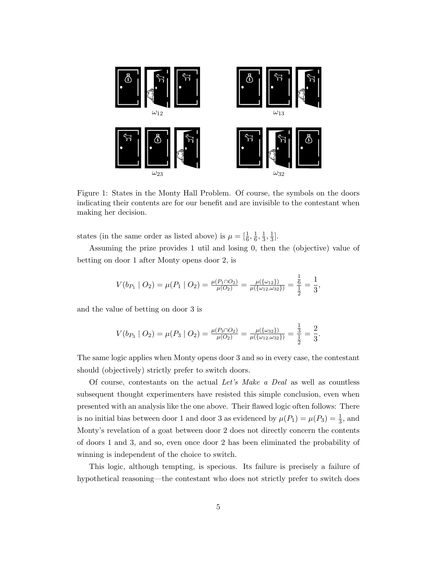

<span id="page-4-0"></span>Figure 1: States in the Monty Hall Problem. Of course, the symbols on the doors indicating their contents are for our benefit and are invisible to the contestant when making her decision.

states (in the same order as listed above) is  $\mu = \left[\frac{1}{6}, \frac{1}{6}\right]$  $\frac{1}{6}, \frac{1}{3}$  $\frac{1}{3}, \frac{1}{3}$  $\frac{1}{3}$ .

Assuming the prize provides 1 util and losing 0, then the (objective) value of betting on door 1 after Monty opens door 2, is

$$
V(b_{P_1} \mid O_2) = \mu(P_1 \mid O_2) = \frac{\mu(P_1 \cap O_2)}{\mu(O_2)} = \frac{\mu(\{\omega_{12}\})}{\mu(\{\omega_{12}, \omega_{32}\})} = \frac{\frac{1}{6}}{\frac{1}{2}} = \frac{1}{3},
$$

and the value of betting on door 3 is

$$
V(b_{P_3} \mid O_2) = \mu(P_3 \mid O_2) = \frac{\mu(P_3 \cap O_2)}{\mu(O_2)} = \frac{\mu(\{\omega_{32}\})}{\mu(\{\omega_{12}, \omega_{32}\})} = \frac{\frac{1}{3}}{\frac{1}{2}} = \frac{2}{3}
$$

.

The same logic applies when Monty opens door 3 and so in every case, the contestant should (objectively) strictly prefer to switch doors.

Of course, contestants on the actual Let's Make a Deal as well as countless subsequent thought experimenters have resisted this simple conclusion, even when presented with an analysis like the one above. Their flawed logic often follows: There is no initial bias between door 1 and door 3 as evidenced by  $\mu(P_1) = \mu(P_3) = \frac{1}{3}$ , and Monty's revelation of a goat between door 2 does not directly concern the contents of doors 1 and 3, and so, even once door 2 has been eliminated the probability of winning is independent of the choice to switch.

This logic, although tempting, is specious. Its failure is precisely a failure of hypothetical reasoning—the contestant who does not strictly prefer to switch does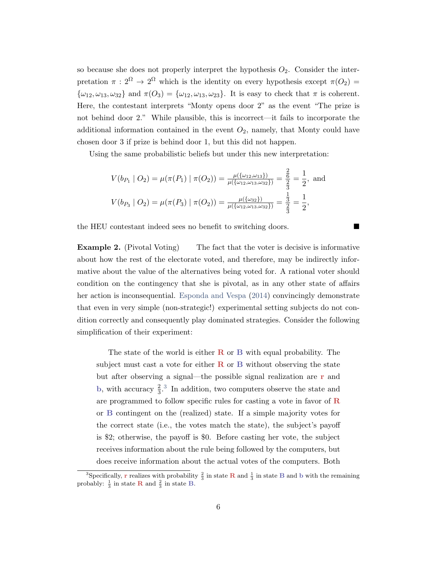so because she does not properly interpret the hypothesis  $O_2$ . Consider the interpretation  $\pi : 2^{\Omega} \to 2^{\Omega}$  which is the identity on every hypothesis except  $\pi(O_2)$  $\{\omega_{12}, \omega_{13}, \omega_{32}\}\$  and  $\pi(O_3) = \{\omega_{12}, \omega_{13}, \omega_{23}\}\$ . It is easy to check that  $\pi$  is coherent. Here, the contestant interprets "Monty opens door 2" as the event "The prize is not behind door 2." While plausible, this is incorrect—it fails to incorporate the additional information contained in the event  $O_2$ , namely, that Monty could have chosen door 3 if prize is behind door 1, but this did not happen.

Using the same probabilistic beliefs but under this new interpretation:

$$
V(b_{P_1} \mid O_2) = \mu(\pi(P_1) \mid \pi(O_2)) = \frac{\mu(\{\omega_{12}, \omega_{13}\})}{\mu(\{\omega_{12}, \omega_{13}, \omega_{32}\})} = \frac{\frac{2}{6}}{\frac{2}{3}} = \frac{1}{2}, \text{ and}
$$

$$
V(b_{P_3} \mid O_2) = \mu(\pi(P_3) \mid \pi(O_2)) = \frac{\mu(\{\omega_{32}\})}{\mu(\{\omega_{12}, \omega_{13}, \omega_{32}\})} = \frac{\frac{1}{3}}{\frac{3}{3}} = \frac{1}{2},
$$

the HEU contestant indeed sees no benefit to switching doors.

<span id="page-5-1"></span>**Example 2.** (Pivotal Voting) The fact that the voter is decisive is informative about how the rest of the electorate voted, and therefore, may be indirectly informative about the value of the alternatives being voted for. A rational voter should condition on the contingency that she is pivotal, as in any other state of affairs her action is inconsequential. [Esponda and Vespa](#page-28-2) [\(2014\)](#page-28-2) convincingly demonstrate that even in very simple (non-strategic!) experimental setting subjects do not condition correctly and consequently play dominated strategies. Consider the following simplification of their experiment:

The state of the world is either  $\bf{R}$  or  $\bf{B}$  with equal probability. The subject must cast a vote for either  $\bf{R}$  or  $\bf{B}$  without observing the state but after observing a signal—the possible signal realization are r and b, with accuracy  $\frac{2}{3}$  $\frac{2}{3}$  $\frac{2}{3}$ .<sup>3</sup> In addition, two computers observe the state and are programmed to follow specific rules for casting a vote in favor of R or B contingent on the (realized) state. If a simple majority votes for the correct state (i.e., the votes match the state), the subject's payoff is \$2; otherwise, the payoff is \$0. Before casting her vote, the subject receives information about the rule being followed by the computers, but does receive information about the actual votes of the computers. Both

<span id="page-5-0"></span><sup>&</sup>lt;sup>3</sup>Specifically, **r** realizes with probability  $\frac{2}{3}$  in state **R** and  $\frac{1}{3}$  in state **B** and b with the remaining probably:  $\frac{1}{3}$  in state **R** and  $\frac{2}{3}$  in state **B**.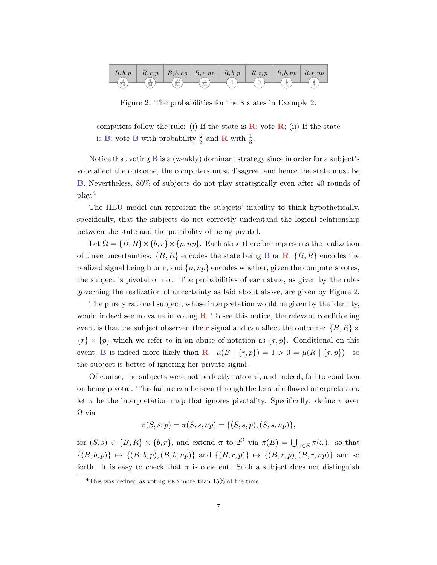

<span id="page-6-1"></span>Figure 2: The probabilities for the 8 states in Example [2.](#page-5-1)

computers follow the rule: (i) If the state is  $\bf{R}$ : vote  $\bf{R}$ ; (ii) If the state is B: vote B with probability  $\frac{2}{3}$  and R with  $\frac{1}{3}$ .

Notice that voting B is a (weakly) dominant strategy since in order for a subject's vote affect the outcome, the computers must disagree, and hence the state must be B. Nevertheless, 80% of subjects do not play strategically even after 40 rounds of play.[4](#page-6-0)

The HEU model can represent the subjects' inability to think hypothetically, specifically, that the subjects do not correctly understand the logical relationship between the state and the possibility of being pivotal.

Let  $\Omega = \{B, R\} \times \{b, r\} \times \{p, np\}$ . Each state therefore represents the realization of three uncertainties:  $\{B, R\}$  encodes the state being **B** or **R**,  $\{B, R\}$  encodes the realized signal being b or r, and  $\{n, np\}$  encodes whether, given the computers votes, the subject is pivotal or not. The probabilities of each state, as given by the rules governing the realization of uncertainty as laid about above, are given by Figure [2.](#page-6-1)

The purely rational subject, whose interpretation would be given by the identity, would indeed see no value in voting  $\bf{R}$ . To see this notice, the relevant conditioning event is that the subject observed the r signal and can affect the outcome:  $\{B, R\} \times$  ${r} \times {p}$  which we refer to in an abuse of notation as  ${r, p}$ . Conditional on this event, B is indeed more likely than  $\mathbf{R} - \mu(B \mid \{r, p\}) = 1 > 0 = \mu(R \mid \{r, p\})$  -so the subject is better of ignoring her private signal.

Of course, the subjects were not perfectly rational, and indeed, fail to condition on being pivotal. This failure can be seen through the lens of a flawed interpretation: let  $\pi$  be the interpretation map that ignores pivotality. Specifically: define  $\pi$  over Ω via

$$
\pi(S, s, p) = \pi(S, s, np) = \{(S, s, p), (S, s, np)\},\
$$

for  $(S, s) \in \{B, R\} \times \{b, r\}$ , and extend  $\pi$  to  $2^{\Omega}$  via  $\pi(E) = \bigcup_{\omega \in E} \pi(\omega)$ . so that  $\{(B, b, p)\}\mapsto \{(B, b, p), (B, b, np)\}\$ and  $\{(B, r, p)\}\mapsto \{(B, r, p), (B, r, np)\}\$ and so forth. It is easy to check that  $\pi$  is coherent. Such a subject does not distinguish

<span id="page-6-0"></span><sup>&</sup>lt;sup>4</sup>This was defined as voting RED more than  $15\%$  of the time.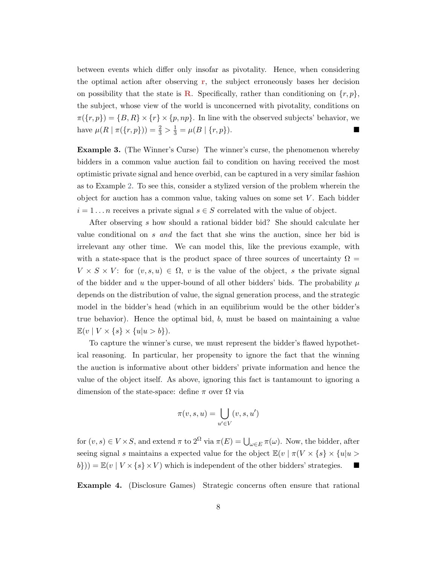between events which differ only insofar as pivotality. Hence, when considering the optimal action after observing  $r$ , the subject erroneously bases her decision on possibility that the state is **R**. Specifically, rather than conditioning on  $\{r, p\}$ , the subject, whose view of the world is unconcerned with pivotality, conditions on  $\pi({r, p}) = {B, R} \times {r} \times {p, np}.$  In line with the observed subjects' behavior, we have  $\mu(R \mid \pi(\{r, p\})) = \frac{2}{3} > \frac{1}{3} = \mu(B \mid \{r, p\}).$ 

Example 3. (The Winner's Curse) The winner's curse, the phenomenon whereby bidders in a common value auction fail to condition on having received the most optimistic private signal and hence overbid, can be captured in a very similar fashion as to Example [2.](#page-5-1) To see this, consider a stylized version of the problem wherein the object for auction has a common value, taking values on some set V . Each bidder  $i = 1 \dots n$  receives a private signal  $s \in S$  correlated with the value of object.

After observing s how should a rational bidder bid? She should calculate her value conditional on s and the fact that she wins the auction, since her bid is irrelevant any other time. We can model this, like the previous example, with with a state-space that is the product space of three sources of uncertainty  $\Omega =$  $V \times S \times V$ : for  $(v, s, u) \in \Omega$ , v is the value of the object, s the private signal of the bidder and u the upper-bound of all other bidders' bids. The probability  $\mu$ depends on the distribution of value, the signal generation process, and the strategic model in the bidder's head (which in an equilibrium would be the other bidder's true behavior). Hence the optimal bid, b, must be based on maintaining a value  $\mathbb{E}(v \mid V \times \{s\} \times \{u|u > b\}).$ 

To capture the winner's curse, we must represent the bidder's flawed hypothetical reasoning. In particular, her propensity to ignore the fact that the winning the auction is informative about other bidders' private information and hence the value of the object itself. As above, ignoring this fact is tantamount to ignoring a dimension of the state-space: define  $\pi$  over  $\Omega$  via

$$
\pi(v, s, u) = \bigcup_{u' \in V} (v, s, u')
$$

for  $(v, s) \in V \times S$ , and extend  $\pi$  to  $2^{\Omega}$  via  $\pi(E) = \bigcup_{\omega \in E} \pi(\omega)$ . Now, the bidder, after seeing signal s maintains a expected value for the object  $\mathbb{E}(v \mid \pi(V \times \{s\} \times \{u | u >$  $(b)$ )) =  $\mathbb{E}(v \mid V \times \{s\} \times V)$  which is independent of the other bidders' strategies.

Example 4. (Disclosure Games) Strategic concerns often ensure that rational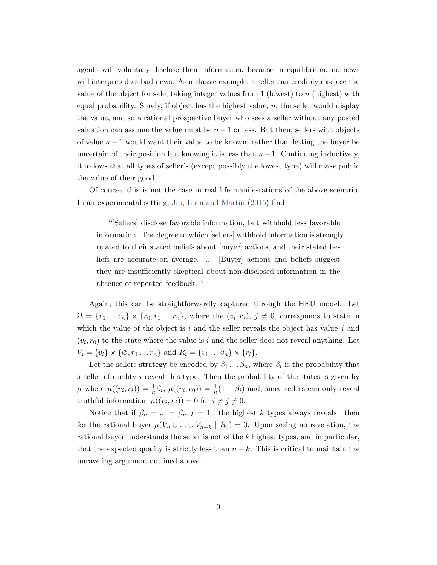agents will voluntary disclose their information, because in equilibrium, no news will interpreted as bad news. As a classic example, a seller can credibly disclose the value of the object for sale, taking integer values from  $1$  (lowest) to  $n$  (highest) with equal probability. Surely, if object has the highest value,  $n$ , the seller would display the value, and so a rational prospective buyer who sees a seller without any posted valuation can assume the value must be  $n - 1$  or less. But then, sellers with objects of value  $n-1$  would want their value to be known, rather than letting the buyer be uncertain of their position but knowing it is less than  $n-1$ . Continuing inductively, it follows that all types of seller's (except possibly the lowest type) will make public the value of their good.

Of course, this is not the case in real life manifestations of the above scenario. In an experimental setting, [Jin, Luca and Martin](#page-28-3) [\(2015\)](#page-28-3) find

"[Sellers] disclose favorable information, but withhold less favorable information. The degree to which [sellers] withhold information is strongly related to their stated beliefs about [buyer] actions, and their stated beliefs are accurate on average. ... [Buyer] actions and beliefs suggest they are insufficiently skeptical about non-disclosed information in the absence of repeated feedback. "

Again, this can be straightforwardly captured through the HEU model. Let  $\Omega = \{v_1 \dots v_n\} \times \{r_0, r_1 \dots r_n\}$ , where the  $(v_i, r_j)$ ,  $j \neq 0$ , corresponds to state in which the value of the object is i and the seller reveals the object has value j and  $(v_i, r_0)$  to the state where the value is i and the seller does not reveal anything. Let  $V_i = \{v_i\} \times \{ \emptyset, r_1 \dots r_n \}$  and  $R_i = \{v_1 \dots v_n\} \times \{r_i\}.$ 

Let the sellers strategy be encoded by  $\beta_1 \dots \beta_n$ , where  $\beta_i$  is the probability that a seller of quality  $i$  reveals his type. Then the probability of the states is given by  $\mu$  where  $\mu((v_i, r_i)) = \frac{1}{n}\beta_i$ ,  $\mu((v_i, r_0)) = \frac{1}{n}(1 - \beta_i)$  and, since sellers can only reveal truthful information,  $\mu((v_i, r_j)) = 0$  for  $i \neq j \neq 0$ .

Notice that if  $\beta_n = ... = \beta_{n-k} = 1$ —the highest k types always reveals—then for the rational buyer  $\mu(V_n \cup ... \cup V_{n-k} | R_0) = 0$ . Upon seeing no revelation, the rational buyer understands the seller is not of the  $k$  highest types, and in particular, that the expected quality is strictly less than  $n - k$ . This is critical to maintain the unraveling argument outlined above.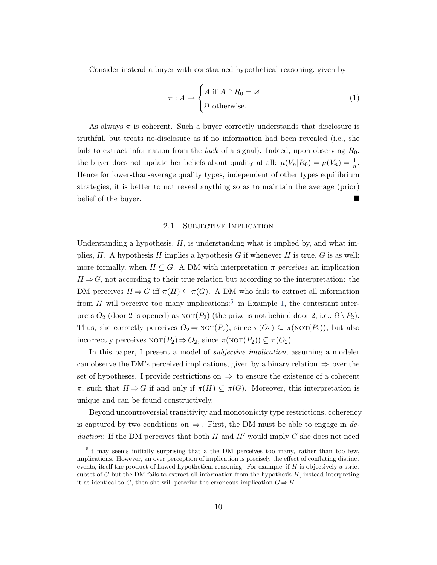Consider instead a buyer with constrained hypothetical reasoning, given by

$$
\pi: A \mapsto \begin{cases} A \text{ if } A \cap R_0 = \varnothing \\ \Omega \text{ otherwise.} \end{cases}
$$
 (1)

As always  $\pi$  is coherent. Such a buyer correctly understands that disclosure is truthful, but treats no-disclosure as if no information had been revealed (i.e., she fails to extract information from the *lack* of a signal). Indeed, upon observing  $R_0$ , the buyer does not update her beliefs about quality at all:  $\mu(V_n|R_0) = \mu(V_n) = \frac{1}{n}$ . Hence for lower-than-average quality types, independent of other types equilibrium strategies, it is better to not reveal anything so as to maintain the average (prior) belief of the buyer.

#### 2.1 SUBJECTIVE IMPLICATION

Understanding a hypothesis,  $H$ , is understanding what is implied by, and what implies,  $H$ . A hypothesis  $H$  implies a hypothesis  $G$  if whenever  $H$  is true,  $G$  is as well: more formally, when  $H \subseteq G$ . A DM with interpretation  $\pi$  perceives an implication  $H \Rightarrow G$ , not according to their true relation but according to the interpretation: the DM perceives  $H \Rightarrow G$  iff  $\pi(H) \subseteq \pi(G)$ . A DM who fails to extract all information from H will perceive too many implications:<sup>[5](#page-9-0)</sup> in Example [1,](#page-3-2) the contestant interprets  $O_2$  (door 2 is opened) as  $\text{NOT}(P_2)$  (the prize is not behind door 2; i.e.,  $\Omega \setminus P_2$ ). Thus, she correctly perceives  $O_2 \Rightarrow \text{NOT}(P_2)$ , since  $\pi(O_2) \subseteq \pi(\text{NOT}(P_2))$ , but also incorrectly perceives  $\text{NOT}(P_2) \Rightarrow O_2$ , since  $\pi(\text{NOT}(P_2)) \subseteq \pi(O_2)$ .

In this paper, I present a model of subjective implication, assuming a modeler can observe the DM's perceived implications, given by a binary relation  $\Rightarrow$  over the set of hypotheses. I provide restrictions on  $\Rightarrow$  to ensure the existence of a coherent  $\pi$ , such that  $H \Rightarrow G$  if and only if  $\pi(H) \subseteq \pi(G)$ . Moreover, this interpretation is unique and can be found constructively.

Beyond uncontroversial transitivity and monotonicity type restrictions, coherency is captured by two conditions on  $\Rightarrow$ . First, the DM must be able to engage in deduction: If the DM perceives that both  $H$  and  $H'$  would imply  $G$  she does not need

<span id="page-9-0"></span><sup>&</sup>lt;sup>5</sup>It may seems initially surprising that a the DM perceives too many, rather than too few, implications. However, an over perception of implication is precisely the effect of conflating distinct events, itself the product of flawed hypothetical reasoning. For example, if H is objectively a strict subset of  $G$  but the DM fails to extract all information from the hypothesis  $H$ , instead interpreting it as identical to G, then she will perceive the erroneous implication  $G \Rightarrow H$ .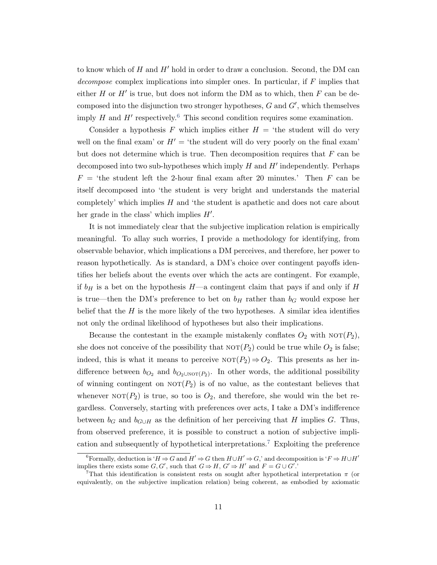to know which of  $H$  and  $H'$  hold in order to draw a conclusion. Second, the DM can decompose complex implications into simpler ones. In particular, if F implies that either  $H$  or  $H'$  is true, but does not inform the DM as to which, then  $F$  can be decomposed into the disjunction two stronger hypotheses,  $G$  and  $G'$ , which themselves imply H and  $H'$  respectively.<sup>[6](#page-10-0)</sup> This second condition requires some examination.

Consider a hypothesis F which implies either  $H = '$ the student will do very well on the final exam' or  $H' = '$ the student will do very poorly on the final exam' but does not determine which is true. Then decomposition requires that  $F$  can be decomposed into two sub-hypotheses which imply  $H$  and  $H'$  independently. Perhaps  $F = 'the student left the 2-hour final exam after 20 minutes.' Then F can be$ itself decomposed into 'the student is very bright and understands the material completely' which implies H and 'the student is apathetic and does not care about her grade in the class' which implies  $H'$ .

It is not immediately clear that the subjective implication relation is empirically meaningful. To allay such worries, I provide a methodology for identifying, from observable behavior, which implications a DM perceives, and therefore, her power to reason hypothetically. As is standard, a DM's choice over contingent payoffs identifies her beliefs about the events over which the acts are contingent. For example, if  $b_H$  is a bet on the hypothesis  $H$ —a contingent claim that pays if and only if H is true—then the DM's preference to bet on  $b_H$  rather than  $b_G$  would expose her belief that the  $H$  is the more likely of the two hypotheses. A similar idea identifies not only the ordinal likelihood of hypotheses but also their implications.

Because the contestant in the example mistakenly conflates  $O_2$  with  $NOT(P_2)$ , she does not conceive of the possibility that  $NOT(P_2)$  could be true while  $O_2$  is false; indeed, this is what it means to perceive  $NOT(P_2) \Rightarrow Q_2$ . This presents as her indifference between  $b_{O_2}$  and  $b_{O_2 \cup \text{NOT}}(P_2)$ . In other words, the additional possibility of winning contingent on  $NOT(P_2)$  is of no value, as the contestant believes that whenever  $NOT(P_2)$  is true, so too is  $O_2$ , and therefore, she would win the bet regardless. Conversely, starting with preferences over acts, I take a DM's indifference between  $b_G$  and  $b_{G\cup H}$  as the definition of her perceiving that H implies G. Thus, from observed preference, it is possible to construct a notion of subjective impli-cation and subsequently of hypothetical interpretations.<sup>[7](#page-10-1)</sup> Exploiting the preference

<span id="page-10-0"></span><sup>&</sup>lt;sup>6</sup>Formally, deduction is ' $H \Rightarrow G$  and  $H' \Rightarrow G$  then  $H \cup H' \Rightarrow G$ ,' and decomposition is ' $F \Rightarrow H \cup H'$ implies there exists some  $G, G'$ , such that  $G \Rightarrow H, G' \Rightarrow H'$  and  $F = G \cup G'$ .

<span id="page-10-1"></span><sup>&</sup>lt;sup>7</sup>That this identification is consistent rests on sought after hypothetical interpretation  $\pi$  (or equivalently, on the subjective implication relation) being coherent, as embodied by axiomatic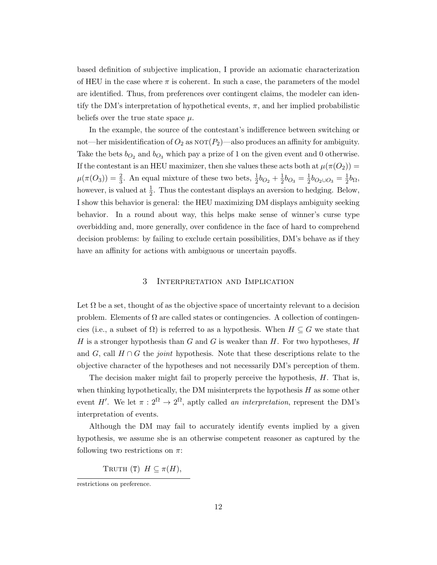based definition of subjective implication, I provide an axiomatic characterization of HEU in the case where  $\pi$  is coherent. In such a case, the parameters of the model are identified. Thus, from preferences over contingent claims, the modeler can identify the DM's interpretation of hypothetical events,  $\pi$ , and her implied probabilistic beliefs over the true state space  $\mu$ .

In the example, the source of the contestant's indifference between switching or not—her misidentification of  $O_2$  as  $\text{NOT}(P_2)$ —also produces an affinity for ambiguity. Take the bets  $b_{O_2}$  and  $b_{O_3}$  which pay a prize of 1 on the given event and 0 otherwise. If the contestant is an HEU maximizer, then she values these acts both at  $\mu(\pi(O_2))$  =  $\mu(\pi(O_3)) = \frac{2}{3}$ . An equal mixture of these two bets,  $\frac{1}{2}b_{O_2} + \frac{1}{2}$  $\frac{1}{2}b_{O_3}=\frac{1}{2}$  $\frac{1}{2}b_{O_2\cup O_3}=\frac{1}{2}$  $rac{1}{2}b_{\Omega}$ however, is valued at  $\frac{1}{2}$ . Thus the contestant displays an aversion to hedging. Below, I show this behavior is general: the HEU maximizing DM displays ambiguity seeking behavior. In a round about way, this helps make sense of winner's curse type overbidding and, more generally, over confidence in the face of hard to comprehend decision problems: by failing to exclude certain possibilities, DM's behave as if they have an affinity for actions with ambiguous or uncertain payoffs.

## 3 Interpretation and Implication

<span id="page-11-0"></span>Let  $\Omega$  be a set, thought of as the objective space of uncertainty relevant to a decision problem. Elements of  $\Omega$  are called states or contingencies. A collection of contingencies (i.e., a subset of  $\Omega$ ) is referred to as a hypothesis. When  $H \subseteq G$  we state that H is a stronger hypothesis than  $G$  and  $G$  is weaker than  $H$ . For two hypotheses,  $H$ and G, call  $H \cap G$  the *joint* hypothesis. Note that these descriptions relate to the objective character of the hypotheses and not necessarily DM's perception of them.

The decision maker might fail to properly perceive the hypothesis, H. That is, when thinking hypothetically, the DM misinterprets the hypothesis  $H$  as some other event H'. We let  $\pi : 2^{\Omega} \to 2^{\Omega}$ , aptly called an interpretation, represent the DM's interpretation of events.

Although the DM may fail to accurately identify events implied by a given hypothesis, we assume she is an otherwise competent reasoner as captured by the following two restrictions on  $\pi$ :

<span id="page-11-1"></span>TRUTH (T)  $H \subseteq \pi(H)$ ,

restrictions on preference.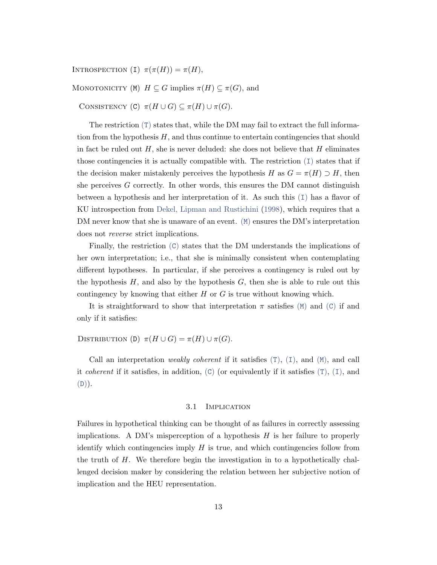<span id="page-12-0"></span>INTROSPECTION (I)  $\pi(\pi(H)) = \pi(H)$ ,

<span id="page-12-1"></span>MONOTONICITY (M)  $H \subseteq G$  implies  $\pi(H) \subseteq \pi(G)$ , and

<span id="page-12-2"></span>CONSISTENCY (C)  $\pi(H \cup G) \subseteq \pi(H) \cup \pi(G)$ .

[T](#page-11-1)he restriction  $(T)$  states that, while the DM may fail to extract the full information from the hypothesis  $H$ , and thus continue to entertain contingencies that should in fact be ruled out  $H$ , she is never deluded: she does not believe that  $H$  eliminates those contingencies it is actually compatible with. The restriction  $(1)$  states that if the decision maker mistakenly perceives the hypothesis H as  $G = \pi(H) \supset H$ , then she perceives  $G$  correctly. In other words, this ensures the DM cannot distinguish between a hypothesis and her interpretation of it. As such this ([I](#page-12-0)) has a flavor of KU introspection from [Dekel, Lipman and Rustichini](#page-28-10) [\(1998\)](#page-28-10), which requires that a D[M](#page-12-1) never know that she is unaware of an event. (M) ensures the DM's interpretation does not reverse strict implications.

Finally, the restriction  $(C)$  $(C)$  $(C)$  states that the DM understands the implications of her own interpretation; i.e., that she is minimally consistent when contemplating different hypotheses. In particular, if she perceives a contingency is ruled out by the hypothesis  $H$ , and also by the hypothesis  $G$ , then she is able to rule out this contingency by knowing that either  $H$  or  $G$  is true without knowing which.

It is straightforward to show that interpretation  $\pi$  satisfies ([M](#page-12-1)) and ([C](#page-12-2)) if and only if it satisfies:

<span id="page-12-3"></span>DISTRIBUTION (D)  $\pi(H \cup G) = \pi(H) \cup \pi(G)$ .

Call an interpretation *weakly coherent* if it satisfies  $(T)$  $(T)$  $(T)$ ,  $(T)$ , and  $(M)$  $(M)$  $(M)$ , and call it *coherent* if it satisfies, in addition,  $(C)$  $(C)$  $(C)$  (or equivalently if it satisfies  $(T)$  $(T)$  $(T)$ ,  $(T)$ , and  $(D)).$  $(D)).$  $(D)).$ 

#### 3.1 Implication

Failures in hypothetical thinking can be thought of as failures in correctly assessing implications. A DM's misperception of a hypothesis  $H$  is her failure to properly identify which contingencies imply  $H$  is true, and which contingencies follow from the truth of  $H$ . We therefore begin the investigation in to a hypothetically challenged decision maker by considering the relation between her subjective notion of implication and the HEU representation.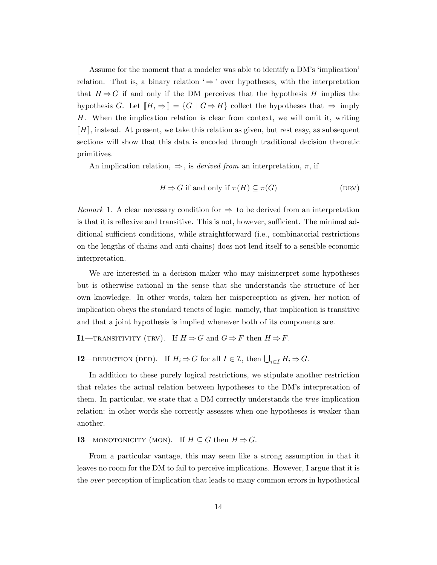Assume for the moment that a modeler was able to identify a DM's 'implication' relation. That is, a binary relation  $\Rightarrow$  over hypotheses, with the interpretation that  $H \Rightarrow G$  if and only if the DM perceives that the hypothesis H implies the hypothesis G. Let  $[[H, \Rightarrow]] = \{G \mid G \Rightarrow H\}$  collect the hypotheses that  $\Rightarrow$  imply H. When the implication relation is clear from context, we will omit it, writing  $\llbracket H \rrbracket$ , instead. At present, we take this relation as given, but rest easy, as subsequent sections will show that this data is encoded through traditional decision theoretic primitives.

An implication relation,  $\Rightarrow$ , is *derived from* an interpretation,  $\pi$ , if

$$
H \Rightarrow G \text{ if and only if } \pi(H) \subseteq \pi(G) \tag{DRV}
$$

Remark 1. A clear necessary condition for  $\Rightarrow$  to be derived from an interpretation is that it is reflexive and transitive. This is not, however, sufficient. The minimal additional sufficient conditions, while straightforward (i.e., combinatorial restrictions on the lengths of chains and anti-chains) does not lend itself to a sensible economic interpretation.

We are interested in a decision maker who may misinterpret some hypotheses but is otherwise rational in the sense that she understands the structure of her own knowledge. In other words, taken her misperception as given, her notion of implication obeys the standard tenets of logic: namely, that implication is transitive and that a joint hypothesis is implied whenever both of its components are.

<span id="page-13-0"></span>**I1**—TRANSITIVITY (TRV). If  $H \Rightarrow G$  and  $G \Rightarrow F$  then  $H \Rightarrow F$ .

<span id="page-13-2"></span>**I2**—DEDUCTION (DED). If  $H_i \Rightarrow G$  for all  $I \in \mathcal{I}$ , then  $\bigcup_{i \in \mathcal{I}} H_i \Rightarrow G$ .

In addition to these purely logical restrictions, we stipulate another restriction that relates the actual relation between hypotheses to the DM's interpretation of them. In particular, we state that a DM correctly understands the true implication relation: in other words she correctly assesses when one hypotheses is weaker than another.

<span id="page-13-1"></span>**I3**—MONOTONICITY (MON). If  $H \subseteq G$  then  $H \Rightarrow G$ .

From a particular vantage, this may seem like a strong assumption in that it leaves no room for the DM to fail to perceive implications. However, I argue that it is the over perception of implication that leads to many common errors in hypothetical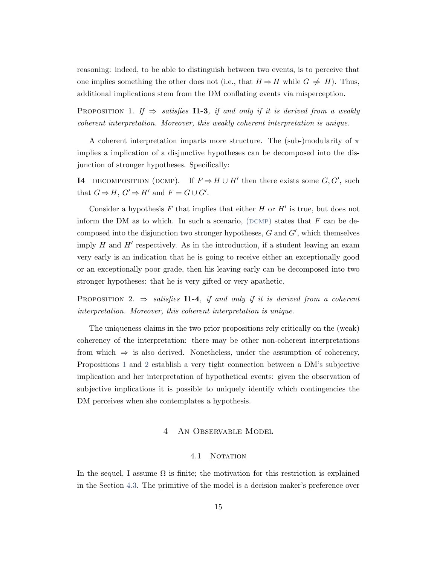reasoning: indeed, to be able to distinguish between two events, is to perceive that one implies something the other does not (i.e., that  $H \Rightarrow H$  while  $G \neq H$ ). Thus, additional implications stem from the DM conflating events via misperception.

<span id="page-14-2"></span>PROPOSITION 1. If  $\Rightarrow$  satisfies **I1-3**, if and only if it is derived from a weakly coherent interpretation. Moreover, this weakly coherent interpretation is unique.

A coherent interpretation imparts more structure. The (sub-)modularity of  $\pi$ implies a implication of a disjunctive hypotheses can be decomposed into the disjunction of stronger hypotheses. Specifically:

<span id="page-14-1"></span>**I4**—DECOMPOSITION (DCMP). If  $F \Rightarrow H \cup H'$  then there exists some  $G, G'$ , such that  $G \Rightarrow H, G' \Rightarrow H'$  and  $F = G \cup G'$ .

Consider a hypothesis  $F$  that implies that either  $H$  or  $H'$  is true, but does not inform the DM as to which. In such a scenario,  $(DCMP)$  states that  $F$  can be decomposed into the disjunction two stronger hypotheses,  $G$  and  $G'$ , which themselves imply  $H$  and  $H'$  respectively. As in the introduction, if a student leaving an exam very early is an indication that he is going to receive either an exceptionally good or an exceptionally poor grade, then his leaving early can be decomposed into two stronger hypotheses: that he is very gifted or very apathetic.

<span id="page-14-3"></span>PROPOSITION 2.  $\Rightarrow$  satisfies **I1-4**, if and only if it is derived from a coherent interpretation. Moreover, this coherent interpretation is unique.

The uniqueness claims in the two prior propositions rely critically on the (weak) coherency of the interpretation: there may be other non-coherent interpretations from which  $\Rightarrow$  is also derived. Nonetheless, under the assumption of coherency, Propositions [1](#page-14-2) and [2](#page-14-3) establish a very tight connection between a DM's subjective implication and her interpretation of hypothetical events: given the observation of subjective implications it is possible to uniquely identify which contingencies the DM perceives when she contemplates a hypothesis.

# 4 An Observable Model

## 4.1 NOTATION

<span id="page-14-0"></span>In the sequel, I assume  $\Omega$  is finite; the motivation for this restriction is explained in the Section [4.3.](#page-16-1) The primitive of the model is a decision maker's preference over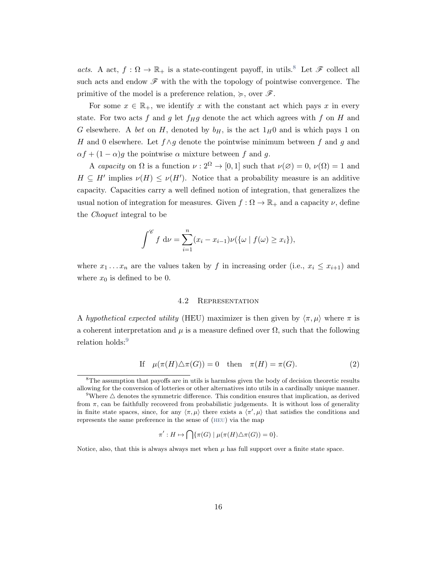acts. A act,  $f : \Omega \to \mathbb{R}_+$  is a state-contingent payoff, in utils.<sup>[8](#page-15-0)</sup> Let  $\mathscr{F}$  collect all such acts and endow  $\mathscr F$  with the with the topology of pointwise convergence. The primitive of the model is a preference relation,  $\succcurlyeq$ , over  $\mathscr{F}$ .

For some  $x \in \mathbb{R}_+$ , we identify x with the constant act which pays x in every state. For two acts f and g let  $f_Hg$  denote the act which agrees with f on H and G elsewhere. A bet on H, denoted by  $b_H$ , is the act  $1_H0$  and is which pays 1 on H and 0 elsewhere. Let  $f \wedge g$  denote the pointwise minimum between f and g and  $\alpha f + (1 - \alpha)g$  the pointwise  $\alpha$  mixture between f and g.

A capacity on  $\Omega$  is a function  $\nu : 2^{\Omega} \to [0, 1]$  such that  $\nu(\emptyset) = 0$ ,  $\nu(\Omega) = 1$  and  $H \subseteq H'$  implies  $\nu(H) \leq \nu(H')$ . Notice that a probability measure is an additive capacity. Capacities carry a well defined notion of integration, that generalizes the usual notion of integration for measures. Given  $f : \Omega \to \mathbb{R}_+$  and a capacity  $\nu$ , define the Choquet integral to be

$$
\int^{\mathscr{C}} f \, \mathrm{d}\nu = \sum_{i=1}^{n} (x_i - x_{i-1}) \nu(\{\omega \mid f(\omega) \ge x_i\}),
$$

where  $x_1 \ldots x_n$  are the values taken by f in increasing order (i.e.,  $x_i \leq x_{i+1}$ ) and where  $x_0$  is defined to be 0.

#### <span id="page-15-2"></span>4.2 Representation

A hypothetical expected utility (HEU) maximizer is then given by  $\langle \pi, \mu \rangle$  where  $\pi$  is a coherent interpretation and  $\mu$  is a measure defined over  $\Omega$ , such that the following relation holds:<sup>[9](#page-15-1)</sup>

If 
$$
\mu(\pi(H)\triangle \pi(G)) = 0
$$
 then  $\pi(H) = \pi(G)$ . (2)

$$
\pi': H \mapsto \bigcap \{\pi(G) \mid \mu(\pi(H)\triangle \pi(G)) = 0\}.
$$

Notice, also, that this is always always met when  $\mu$  has full support over a finite state space.

<span id="page-15-0"></span><sup>&</sup>lt;sup>8</sup>The assumption that payoffs are in utils is harmless given the body of decision theoretic results allowing for the conversion of lotteries or other alternatives into utils in a cardinally unique manner.

<span id="page-15-1"></span><sup>&</sup>lt;sup>9</sup>Where  $\triangle$  denotes the symmetric difference. This condition ensures that implication, as derived from  $\pi$ , can be faithfully recovered from probabilistic judgements. It is without loss of generality in finite state spaces, since, for any  $\langle \pi, \mu \rangle$  there exists a  $\langle \pi', \mu \rangle$  that satisfies the conditions and represents the same preference in the sense of ([heu](#page-16-2)) via the map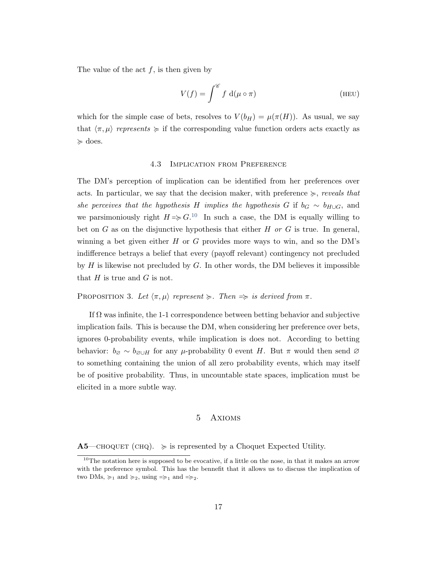The value of the act  $f$ , is then given by

<span id="page-16-2"></span>
$$
V(f) = \int^{\mathscr{C}} f \, \mathrm{d}(\mu \circ \pi) \tag{HEU}
$$

<span id="page-16-1"></span>which for the simple case of bets, resolves to  $V(b_H) = \mu(\pi(H))$ . As usual, we say that  $\langle \pi, \mu \rangle$  represents  $\succcurlyeq$  if the corresponding value function orders acts exactly as  $\succcurlyeq$  does.

## 4.3 Implication from Preference

The DM's perception of implication can be identified from her preferences over acts. In particular, we say that the decision maker, with preference  $\succcurlyeq$ , reveals that she perceives that the hypothesis H implies the hypothesis G if  $b_G \sim b_{H\cup G}$ , and we parsimoniously right  $H \Rightarrow G$ <sup>[10](#page-16-3)</sup> In such a case, the DM is equally willing to bet on G as on the disjunctive hypothesis that either H or G is true. In general, winning a bet given either  $H$  or  $G$  provides more ways to win, and so the DM's indifference betrays a belief that every (payoff relevant) contingency not precluded by  $H$  is likewise not precluded by  $G$ . In other words, the DM believes it impossible that  $H$  is true and  $G$  is not.

## <span id="page-16-5"></span>PROPOSITION 3. Let  $\langle \pi, \mu \rangle$  represent  $\succcurlyeq$ . Then  $\Rightarrow$  is derived from  $\pi$ .

If  $\Omega$  was infinite, the 1-1 correspondence between betting behavior and subjective implication fails. This is because the DM, when considering her preference over bets, ignores 0-probability events, while implication is does not. According to betting behavior:  $b_{\varnothing} \sim b_{\varnothing \cup H}$  for any  $\mu$ -probability 0 event H. But  $\pi$  would then send  $\varnothing$ to something containing the union of all zero probability events, which may itself be of positive probability. Thus, in uncountable state spaces, implication must be elicited in a more subtle way.

#### 5 Axioms

<span id="page-16-4"></span><span id="page-16-0"></span> $\mathbf{A5}$ —CHOQUET (CHQ).  $\succcurlyeq$  is represented by a Choquet Expected Utility.

<span id="page-16-3"></span><sup>&</sup>lt;sup>10</sup>The notation here is supposed to be evocative, if a little on the nose, in that it makes an arrow with the preference symbol. This has the bennefit that it allows us to discuss the implication of two DMs,  $\succcurlyeq_1$  and  $\succcurlyeq_2$ , using  $=\succcurlyeq_1$  and  $=\succcurlyeq_2$ .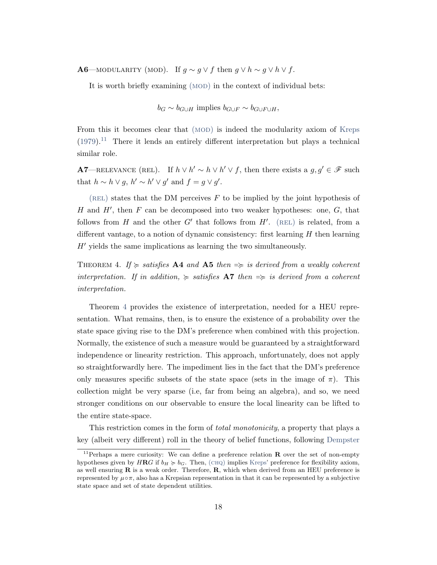<span id="page-17-0"></span>**A6**—MODULARITY (MOD). If  $g \sim g \vee f$  then  $g \vee h \sim g \vee h \vee f$ .

It is worth briefly examining (MOD) in the context of individual bets:

$$
b_G \sim b_{G \cup H}
$$
 implies  $b_{G \cup F} \sim b_{G \cup F \cup H}$ ,

From this it becomes clear that (MOD) is indeed the [mod](#page-17-0)ularity axiom of [Kreps](#page-28-11)  $(1979).$  $(1979).$ <sup>[11](#page-17-1)</sup> There it lends an entirely different interpretation but plays a technical similar role.

<span id="page-17-2"></span>A7—RELEVANCE (REL). If  $h \vee h' \sim h \vee h' \vee f$ , then there exists a  $g, g' \in \mathscr{F}$  such that  $h \sim h \vee g$ ,  $h' \sim h' \vee g'$  and  $f = g \vee g'$ .

 $(REL)$  states that the DM perceives  $F$  to be implied by the joint hypothesis of H and  $H'$ , then F can be decomposed into two weaker hypotheses: one,  $G$ , that follows from  $H$  and the other  $G'$  that follows from  $H'$ . (REL) is [rel](#page-17-2)ated, from a different vantage, to a notion of dynamic consistency: first learning  $H$  then learning  $H'$  yields the same implications as learning the two simultaneously.

<span id="page-17-3"></span>THEOREM 4. If  $\succcurlyeq$  satisfies A4 and A5 then  $\Rightarrow$  is derived from a weakly coherent interpretation. If in addition,  $\succcurlyeq$  satisfies A7 then  $\Rightarrow$  is derived from a coherent interpretation.

Theorem [4](#page-17-3) provides the existence of interpretation, needed for a HEU representation. What remains, then, is to ensure the existence of a probability over the state space giving rise to the DM's preference when combined with this projection. Normally, the existence of such a measure would be guaranteed by a straightforward independence or linearity restriction. This approach, unfortunately, does not apply so straightforwardly here. The impediment lies in the fact that the DM's preference only measures specific subsets of the state space (sets in the image of  $\pi$ ). This collection might be very sparse (i.e, far from being an algebra), and so, we need stronger conditions on our observable to ensure the local linearity can be lifted to the entire state-space.

This restriction comes in the form of *total monotonicity*, a property that plays a key (albeit very different) roll in the theory of belief functions, following [Dempster](#page-28-12)

<span id="page-17-1"></span><sup>&</sup>lt;sup>11</sup>Perhaps a mere curiosity: We can define a preference relation  $\bf{R}$  over the set of non-empty hypotheses given by  $H \mathbb{R}G$  if  $b_H \geq b_G$ . Then, (CHQ) implies [Kreps'](#page-28-11) preference for flexibility axiom, as well ensuring  $\bf{R}$  is a weak order. Therefore,  $\bf{R}$ , which when derived from an HEU preference is represented by  $\mu \circ \pi$ , also has a Krepsian representation in that it can be represented by a subjective state space and set of state dependent utilities.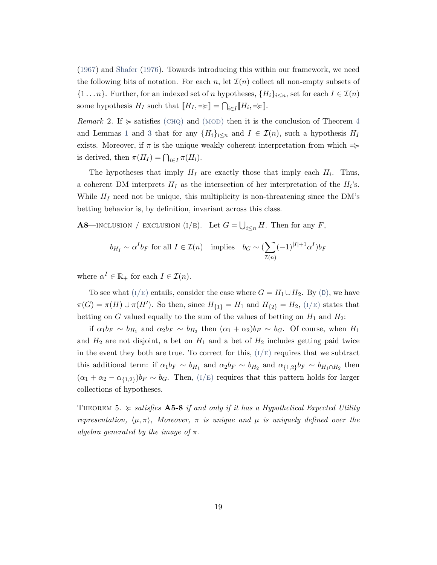[\(1967\)](#page-28-12) and [Shafer](#page-29-5) [\(1976\)](#page-29-5). Towards introducing this within our framework, we need the following bits of notation. For each n, let  $\mathcal{I}(n)$  collect all non-empty subsets of  $\{1 \ldots n\}$ . Further, for an indexed set of n hypotheses,  $\{H_i\}_{i\leq n}$ , set for each  $I \in \mathcal{I}(n)$ some hypothesis  $H_I$  such that  $[[H_I, \Rightarrow] = \bigcap_{i \in I} [H_i, \Rightarrow]$ .

Remark 2. If  $\succeq$  satisfies (CHQ) and (MOD) then it is the conclusion of Theorem [4](#page-17-3) and Lemmas [1](#page-24-0) and [3](#page-24-1) that for any  $\{H_i\}_{i\leq n}$  and  $I \in \mathcal{I}(n)$ , such a hypothesis  $H_I$ exists. Moreover, if  $\pi$  is the unique weakly coherent interpretation from which  $\Rightarrow$ is derived, then  $\pi(H_I) = \bigcap_{i \in I} \pi(H_i)$ .

The hypotheses that imply  $H_I$  are exactly those that imply each  $H_i$ . Thus, a coherent DM interprets  $H_I$  as the intersection of her interpretation of the  $H_i$ 's. While  $H_I$  need not be unique, this multiplicity is non-threatening since the DM's betting behavior is, by definition, invariant across this class.

<span id="page-18-0"></span>**A8**—INCLUSION / EXCLUSION (I/E). Let  $G = \bigcup_{i \leq n} H$ . Then for any F,

$$
b_{H_I} \sim \alpha^I b_F
$$
 for all  $I \in \mathcal{I}(n)$  implies  $b_G \sim (\sum_{\mathcal{I}(n)} (-1)^{|I|+1} \alpha^I) b_F$ 

where  $\alpha^I \in \mathbb{R}_+$  for each  $I \in \mathcal{I}(n)$ .

To see what ( $I/E$ ) entails, consider the case where  $G = H_1 \cup H_2$ . By ([D](#page-12-3)), we have  $\pi(G) = \pi(H) \cup \pi(H')$ . So then, since  $H_{\{1\}} = H_1$  and  $H_{\{2\}} = H_2$ , ( $I/E$ ) states that betting on G valued equally to the sum of the values of betting on  $H_1$  and  $H_2$ :

if  $\alpha_1 b_F \sim b_{H_1}$  and  $\alpha_2 b_F \sim b_{H_2}$  then  $(\alpha_1 + \alpha_2) b_F \sim b_G$ . Of course, when  $H_1$ and  $H_2$  are not disjoint, a bet on  $H_1$  and a bet of  $H_2$  includes getting paid twice in the event they both are true. To correct for this,  $(I/E)$  requires that we subtract this additional term: if  $\alpha_1 b_F \sim b_{H_1}$  and  $\alpha_2 b_F \sim b_{H_2}$  and  $\alpha_{\{1,2\}} b_F \sim b_{H_1 \cap H_2}$  then  $(\alpha_1 + \alpha_2 - \alpha_{\{1,2\}}) b_F \sim b_G$ . Then,  $(I/E)$  requires that this pattern holds for larger collections of hypotheses.

<span id="page-18-1"></span>THEOREM 5.  $\geq$  satisfies **A5-8** if and only if it has a Hypothetical Expected Utility representation,  $\langle \mu, \pi \rangle$ , Moreover,  $\pi$  is unique and  $\mu$  is uniquely defined over the algebra generated by the image of  $\pi$ .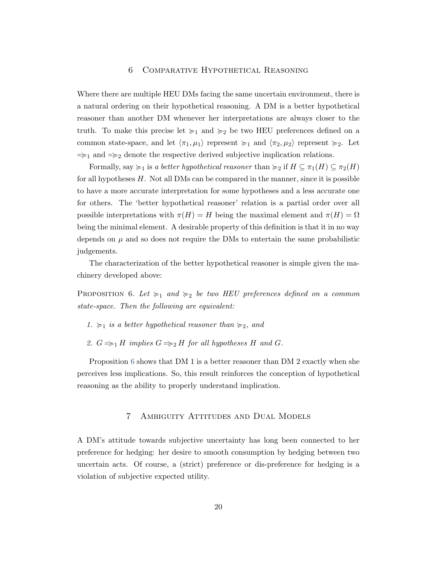# 6 Comparative Hypothetical Reasoning

Where there are multiple HEU DMs facing the same uncertain environment, there is a natural ordering on their hypothetical reasoning. A DM is a better hypothetical reasoner than another DM whenever her interpretations are always closer to the truth. To make this precise let  $\succcurlyeq_1$  and  $\succcurlyeq_2$  be two HEU preferences defined on a common state-space, and let  $\langle \pi_1, \mu_1 \rangle$  represent  $\succcurlyeq_1$  and  $\langle \pi_2, \mu_2 \rangle$  represent  $\succcurlyeq_2$ . Let  $\Rightarrow$ <sub>1</sub> and  $\Rightarrow$ <sub>2</sub> denote the respective derived subjective implication relations.

Formally, say  $\succcurlyeq_1$  is a better hypothetical reasoner than  $\succcurlyeq_2$  if  $H \subseteq \pi_1(H) \subseteq \pi_2(H)$ for all hypotheses  $H$ . Not all DMs can be compared in the manner, since it is possible to have a more accurate interpretation for some hypotheses and a less accurate one for others. The 'better hypothetical reasoner' relation is a partial order over all possible interpretations with  $\pi(H) = H$  being the maximal element and  $\pi(H) = \Omega$ being the minimal element. A desirable property of this definition is that it in no way depends on  $\mu$  and so does not require the DMs to entertain the same probabilistic judgements.

The characterization of the better hypothetical reasoner is simple given the machinery developed above:

<span id="page-19-1"></span>PROPOSITION 6. Let  $\succcurlyeq_1$  and  $\succcurlyeq_2$  be two HEU preferences defined on a common state-space. Then the following are equivalent:

- 1.  $\succcurlyeq_1$  is a better hypothetical reasoner than  $\succcurlyeq_2$ , and
- 2.  $G \Rightarrow H$  implies  $G \Rightarrow H$  for all hypotheses H and G.

<span id="page-19-0"></span>Proposition [6](#page-19-1) shows that DM 1 is a better reasoner than DM 2 exactly when she perceives less implications. So, this result reinforces the conception of hypothetical reasoning as the ability to properly understand implication.

## 7 Ambiguity Attitudes and Dual Models

A DM's attitude towards subjective uncertainty has long been connected to her preference for hedging: her desire to smooth consumption by hedging between two uncertain acts. Of course, a (strict) preference or dis-preference for hedging is a violation of subjective expected utility.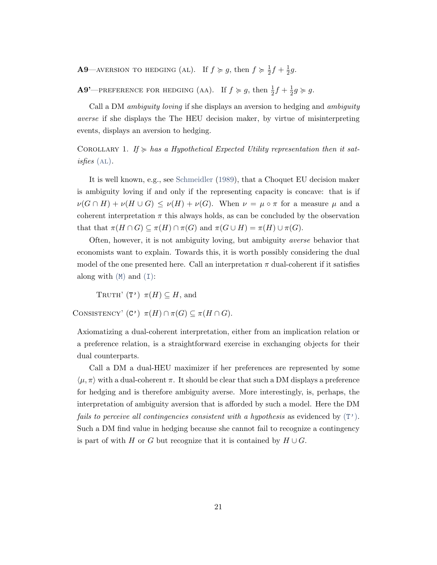<span id="page-20-1"></span>**A9**—AVERSION TO HEDGING (AL). If  $f \ge g$ , then  $f \ge \frac{1}{2}$  $\frac{1}{2}f + \frac{1}{2}$  $rac{1}{2}g$ .

**A9'**—PREFERENCE FOR HEDGING (AA). If  $f \ge g$ , then  $\frac{1}{2}f + \frac{1}{2}$  $\frac{1}{2}g \succcurlyeq g.$ 

Call a DM ambiguity loving if she displays an aversion to hedging and ambiguity averse if she displays the The HEU decision maker, by virtue of misinterpreting events, displays an aversion to hedging.

COROLLARY 1. If  $\succcurlyeq$  has a Hypothetical Expected Utility representation then it satisfies  $(AL)$ .

It is well known, e.g., see [Schmeidler](#page-29-6) [\(1989\)](#page-29-6), that a Choquet EU decision maker is ambiguity loving if and only if the representing capacity is concave: that is if  $\nu(G \cap H) + \nu(H \cup G) \leq \nu(H) + \nu(G)$ . When  $\nu = \mu \circ \pi$  for a measure  $\mu$  and a coherent interpretation  $\pi$  this always holds, as can be concluded by the observation that that  $\pi(H \cap G) \subseteq \pi(H) \cap \pi(G)$  and  $\pi(G \cup H) = \pi(H) \cup \pi(G)$ .

Often, however, it is not ambiguity loving, but ambiguity averse behavior that economists want to explain. Towards this, it is worth possibly considering the dual model of the one presented here. Call an interpretation  $\pi$  dual-coherent if it satisfies along with  $(M)$  $(M)$  $(M)$  and  $(I)$  $(I)$  $(I)$ :

<span id="page-20-2"></span>TRUTH'  $(T') \pi(H) \subseteq H$ , and

CONSISTENCY'  $(C')$   $\pi(H) \cap \pi(G) \subseteq \pi(H \cap G)$ .

Axiomatizing a dual-coherent interpretation, either from an implication relation or a preference relation, is a straightforward exercise in exchanging objects for their dual counterparts.

<span id="page-20-0"></span>Call a DM a dual-HEU maximizer if her preferences are represented by some  $\langle \mu, \pi \rangle$  with a dual-coherent  $\pi$ . It should be clear that such a DM displays a preference for hedging and is therefore ambiguity averse. More interestingly, is, perhaps, the interpretation of ambiguity aversion that is afforded by such a model. Here the DM *fails to perceive all contingencies consistent with a hypothesis* as evidenced by  $(T')$  $(T')$  $(T')$ . Such a DM find value in hedging because she cannot fail to recognize a contingency is part of with H or G but recognize that it is contained by  $H \cup G$ .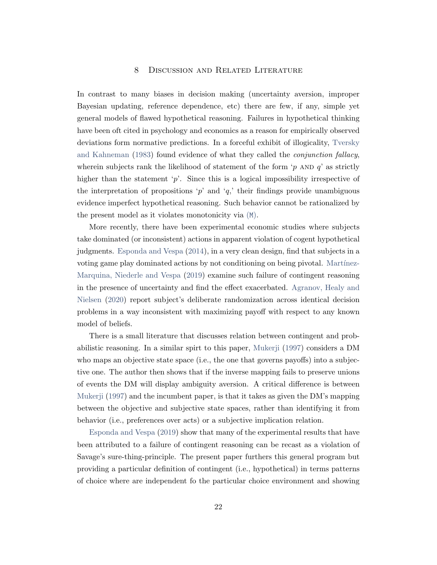# 8 Discussion and Related Literature

In contrast to many biases in decision making (uncertainty aversion, improper Bayesian updating, reference dependence, etc) there are few, if any, simple yet general models of flawed hypothetical reasoning. Failures in hypothetical thinking have been oft cited in psychology and economics as a reason for empirically observed deviations form normative predictions. In a forceful exhibit of illogicality, [Tversky](#page-29-3) [and Kahneman](#page-29-3) [\(1983\)](#page-29-3) found evidence of what they called the conjunction fallacy, wherein subjects rank the likelihood of statement of the form 'p AND  $q$ ' as strictly higher than the statement 'p'. Since this is a logical impossibility irrespective of the interpretation of propositions 'p' and 'q,' their findings provide unambiguous evidence imperfect hypothetical reasoning. Such behavior cannot be rationalized by the present model as it violates monotonicity via ([M](#page-12-1)).

More recently, there have been experimental economic studies where subjects take dominated (or inconsistent) actions in apparent violation of cogent hypothetical judgments. [Esponda and Vespa](#page-28-2) [\(2014\)](#page-28-2), in a very clean design, find that subjects in a voting game play dominated actions by not conditioning on being pivotal. Martínez-[Marquina, Niederle and Vespa](#page-29-2) [\(2019\)](#page-29-2) examine such failure of contingent reasoning in the presence of uncertainty and find the effect exacerbated. [Agranov, Healy and](#page-28-6) [Nielsen](#page-28-6) [\(2020\)](#page-28-6) report subject's deliberate randomization across identical decision problems in a way inconsistent with maximizing payoff with respect to any known model of beliefs.

There is a small literature that discusses relation between contingent and probabilistic reasoning. In a similar spirt to this paper, [Mukerji](#page-29-7) [\(1997\)](#page-29-7) considers a DM who maps an objective state space (i.e., the one that governs payoffs) into a subjective one. The author then shows that if the inverse mapping fails to preserve unions of events the DM will display ambiguity aversion. A critical difference is between [Mukerji](#page-29-7) [\(1997\)](#page-29-7) and the incumbent paper, is that it takes as given the DM's mapping between the objective and subjective state spaces, rather than identifying it from behavior (i.e., preferences over acts) or a subjective implication relation.

[Esponda and Vespa](#page-28-7) [\(2019\)](#page-28-7) show that many of the experimental results that have been attributed to a failure of contingent reasoning can be recast as a violation of Savage's sure-thing-principle. The present paper furthers this general program but providing a particular definition of contingent (i.e., hypothetical) in terms patterns of choice where are independent fo the particular choice environment and showing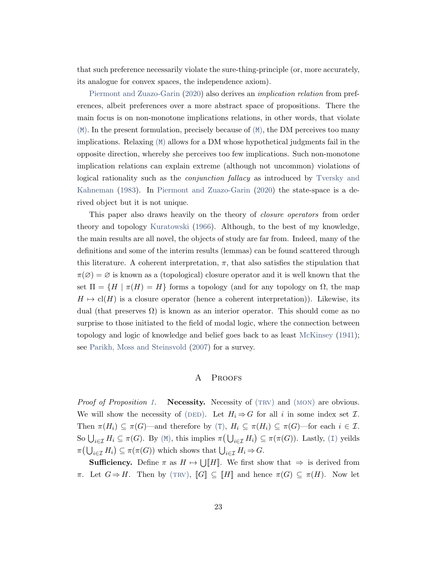that such preference necessarily violate the sure-thing-principle (or, more accurately, its analogue for convex spaces, the independence axiom).

[Piermont and Zuazo-Garin](#page-29-8) [\(2020\)](#page-29-8) also derives an implication relation from preferences, albeit preferences over a more abstract space of propositions. There the main focus is on non-monotone implications relations, in other words, that violate  $(M)$  $(M)$  $(M)$ . In the present formulation, precisely because of  $(M)$ , the DM perceives too many implications. Relaxing ([M](#page-12-1)) allows for a DM whose hypothetical judgments fail in the opposite direction, whereby she perceives too few implications. Such non-monotone implication relations can explain extreme (although not uncommon) violations of logical rationality such as the conjunction fallacy as introduced by [Tversky and](#page-29-3) [Kahneman](#page-29-3) [\(1983\)](#page-29-3). In [Piermont and Zuazo-Garin](#page-29-8) [\(2020\)](#page-29-8) the state-space is a derived object but it is not unique.

This paper also draws heavily on the theory of closure operators from order theory and topology [Kuratowski](#page-28-13) [\(1966\)](#page-28-13). Although, to the best of my knowledge, the main results are all novel, the objects of study are far from. Indeed, many of the definitions and some of the interim results (lemmas) can be found scattered through this literature. A coherent interpretation,  $\pi$ , that also satisfies the stipulation that  $\pi(\emptyset) = \emptyset$  is known as a (topological) closure operator and it is well known that the set  $\Pi = \{H \mid \pi(H) = H\}$  forms a topology (and for any topology on  $\Omega$ , the map  $H \mapsto \text{cl}(H)$  is a closure operator (hence a coherent interpretation)). Likewise, its dual (that preserves  $\Omega$ ) is known as an interior operator. This should come as no surprise to those initiated to the field of modal logic, where the connection between topology and logic of knowledge and belief goes back to as least [McKinsey](#page-29-9) [\(1941\)](#page-29-9); see [Parikh, Moss and Steinsvold](#page-29-10) [\(2007\)](#page-29-10) for a survey.

# A PROOFS

*Proof of Proposition [1.](#page-14-2)* Necessity. Necessity of  $(TRV)$  and  $(MON)$  are obvious. We will show the necessity of (DED). Let  $H_i \Rightarrow G$  for all i in some index set  $\mathcal{I}$ . [T](#page-11-1)hen  $\pi(H_i) \subseteq \pi(G)$ —and therefore by (T),  $H_i \subseteq \pi(H_i) \subseteq \pi(G)$ —for each  $i \in \mathcal{I}$ . So  $\bigcup_{i\in\mathcal{I}} H_i \subseteq \pi(G)$  $\bigcup_{i\in\mathcal{I}} H_i \subseteq \pi(G)$  $\bigcup_{i\in\mathcal{I}} H_i \subseteq \pi(G)$ . By ([M](#page-12-1)), this implies  $\pi\left(\bigcup_{i\in\mathcal{I}} H_i\right) \subseteq \pi(\pi(G))$ . Lastly, (I) yeilds  $\pi\big(\bigcup_{i\in\mathcal{I}} H_i\big) \subseteq \pi(\pi(G))$  which shows that  $\bigcup_{i\in\mathcal{I}} H_i \Rightarrow G$ .

**Sufficiency.** Define  $\pi$  as  $H \mapsto \bigcup [H]$ . We first show that  $\Rightarrow$  is derived from π. Let  $G \Rightarrow H$ . Then by (TRV),  $\llbracket G \rrbracket \subseteq \llbracket H \rrbracket$  and hence  $\pi(G) \subseteq \pi(H)$ . Now let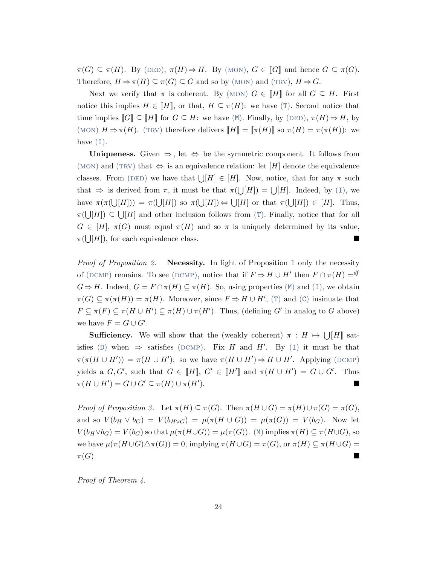$\pi(G) \subseteq \pi(H)$ . By (DED),  $\pi(H) \Rightarrow H$ . By (MON),  $G \in [G]$  and hence  $G \subseteq \pi(G)$ . Therefore,  $H \Rightarrow \pi(H) \subseteq \pi(G) \subseteq G$  and so by (MON) and (TRV),  $H \Rightarrow G$ .

Next we verify that  $\pi$  is coherent. By (MON)  $G \in [H]$  for all  $G \subseteq H$ . First notice this implies  $H \in [H]$ , or that,  $H \subseteq \pi(H)$ : we have ([T](#page-11-1)). Second notice that time implies  $\llbracket G \rrbracket \subseteq \llbracket H \rrbracket$  for  $G \subseteq H$ : we have  $(\mathbb{M})$  $(\mathbb{M})$  $(\mathbb{M})$ . Finally, by  $(DED)$ ,  $\pi(H) \Rightarrow H$ , by (MON)  $H \Rightarrow \pi(H)$ . (TRV) therefore delivers  $\llbracket H \rrbracket = \llbracket \pi(H) \rrbracket$  so  $\pi(H) = \pi(\pi(H))$ : we have  $(I)$  $(I)$  $(I)$ .

Uniqueness. Given  $\Rightarrow$ , let  $\Leftrightarrow$  be the symmetric component. It follows from (MON) and (TRV) that  $\Leftrightarrow$  is an equivalence relation: let [H] denote the equivalence classes. From (DED) we have that  $\bigcup H \in [H]$ . Now, notice, that for any  $\pi$  such that  $\Rightarrow$  is derived from  $\pi$ , it must be that  $\pi(\bigcup[H]) = \bigcup[H]$ . [I](#page-12-0)ndeed, by (I), we have  $\pi(\pi(\bigcup [H])) = \pi(\bigcup [H])$  so  $\pi(\bigcup [H]) \Leftrightarrow \bigcup [H]$  or that  $\pi(\bigcup [H]) \in [H]$ . Thus,  $\pi(\bigcup [H]) \subseteq \bigcup [H]$  and other inclusion follows from ([T](#page-11-1)). Finally, notice that for all  $G \in [H], \pi(G)$  must equal  $\pi(H)$  and so  $\pi$  is uniquely determined by its value,  $\pi(\bigcup [H])$ , for each equivalence class.

*Proof of Proposition [2.](#page-14-3)* Necessity. In light of Proposition [1](#page-14-2) only the necessity of (DCMP) remains. To see (DCMP), notice that if  $F \Rightarrow H \cup H'$  then  $F \cap \pi(H) =$ <sup>df</sup>  $G \Rightarrow H$ . [I](#page-12-0)ndeed,  $G = F \cap \pi(H) \subseteq \pi(H)$ . So, using properties  $(M)$  $(M)$  $(M)$  and  $(I)$ , we obtain  $\pi(G) \subseteq \pi(\pi(H)) = \pi(H)$ . Moreover, since  $F \Rightarrow H \cup H'$ , ([T](#page-11-1)) and ([C](#page-12-2)) insinuate that  $F \subseteq \pi(F) \subseteq \pi(H \cup H') \subseteq \pi(H) \cup \pi(H')$ . Thus, (defining G' in analog to G above) we have  $F = G \cup G'$ .

**Sufficiency.** We will show that the (weakly coherent)  $\pi : H \mapsto \bigcup [H]$  sat-isfies ([D](#page-12-3)) when  $\Rightarrow$  satisfies (DCMP). Fix H and H'. By ([I](#page-12-0)) it must be that  $\pi(\pi(H \cup H')) = \pi(H \cup H')$ : so we have  $\pi(H \cup H') \Rightarrow H \cup H'$ . Applying (DCMP) yields a  $G, G'$ , such that  $G \in [H]$ ,  $G' \in [H']$  and  $\pi(H \cup H') = G \cup G'$ . Thus  $\pi(H \cup H') = G \cup G' \subseteq \pi(H) \cup \pi(H')$ ).

Proof of Proposition [3.](#page-16-5) Let  $\pi(H) \subseteq \pi(G)$ . Then  $\pi(H \cup G) = \pi(H) \cup \pi(G) = \pi(G)$ , and so  $V(b_H \vee b_G) = V(b_{H \vee G}) = \mu(\pi(H \cup G)) = \mu(\pi(G)) = V(b_G)$ . Now let  $V(b_H \vee b_G) = V(b_G)$  so that  $\mu(\pi(H \cup G)) = \mu(\pi(G))$ . ([M](#page-12-1)) implies  $\pi(H) \subseteq \pi(H \cup G)$ , so we have  $\mu(\pi(H\cup G)\triangle \pi(G)) = 0$ , implying  $\pi(H\cup G) = \pi(G)$ , or  $\pi(H) \subseteq \pi(H\cup G) =$  $\pi(G)$ .

*Proof of Theorem [4.](#page-17-3)*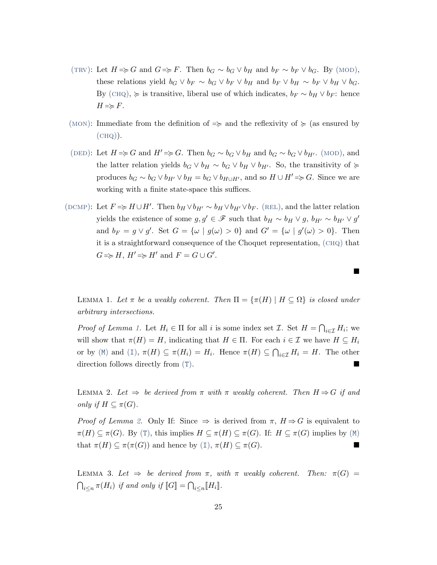- (TRV): Let  $H \Rightarrow G$  and  $G \Rightarrow F$ . Then  $b_G \sim b_G \vee b_H$  and  $b_F \sim b_F \vee b_G$ . By (MOD), these relations yield  $b_G \vee b_F \sim b_G \vee b_F \vee b_H$  and  $b_F \vee b_H \sim b_F \vee b_H \vee b_G$ . By (CHQ),  $\succeq$  is transitive, liberal use of which indicates,  $b_F \sim b_H \vee b_F$ : hence  $H \Rightarrow F$ .
- (MON): Immediate from the definition of  $\Rightarrow$  and the reflexivity of  $\succeq$  (as ensured by  $(CHQ)$ ).
- (DED): Let  $H \Rightarrow G$  and  $H' \Rightarrow G$ . Then  $b_G \sim b_G \vee b_H$  and  $b_G \sim b_G \vee b_{H'}$ . (MOD), and the latter relation yields  $b_G \vee b_H \sim b_G \vee b_H \vee b_{H'}$ . So, the transitivity of  $\succcurlyeq$ produces  $b_G \sim b_G \vee b_{H'} \vee b_H = b_G \vee b_{H\cup H'}$ , and so  $H \cup H' \Rightarrow G$ . Since we are working with a finite state-space this suffices.
- (DCMP): Let  $F \Rightarrow H \cup H'$ . Then  $b_H \vee b_{H'} \sim b_H \vee b_{H'} \vee b_F$ . (REL), and the latter [rel](#page-17-2)ation yields the existence of some  $g, g' \in \mathscr{F}$  such that  $b_H \sim b_H \vee g$ ,  $b_{H'} \sim b_{H'} \vee g'$ and  $b_F = g \vee g'$ . Set  $G = {\omega \mid g(\omega) > 0}$  and  $G' = {\omega \mid g'(\omega) > 0}$ . Then it is a straightforward consequence of the Choquet representation, ([chq](#page-16-4)) that  $G \Rightarrow H, H' \Rightarrow H'$  and  $F = G \cup G'.$

<span id="page-24-0"></span>LEMMA 1. Let  $\pi$  be a weakly coherent. Then  $\Pi = {\pi(H) | H \subseteq \Omega}$  is closed under arbitrary intersections.

 $\blacksquare$ 

*Proof of Lemma [1.](#page-24-0)* Let  $H_i \in \Pi$  for all i is some index set  $\mathcal{I}$ . Set  $H = \bigcap_{i \in \mathcal{I}} H_i$ ; we will show that  $\pi(H) = H$ , indicating that  $H \in \Pi$ . For each  $i \in \mathcal{I}$  we have  $H \subseteq H_i$ or by ([M](#page-12-1)) and ([I](#page-12-0)),  $\pi(H) \subseteq \pi(H_i) = H_i$ . Hence  $\pi(H) \subseteq \bigcap_{i \in \mathcal{I}} H_i = H$ . The other direction follows directly from ([T](#page-11-1)).

<span id="page-24-2"></span>LEMMA 2. Let  $\Rightarrow$  be derived from  $\pi$  with  $\pi$  weakly coherent. Then  $H \Rightarrow G$  if and only if  $H \subseteq \pi(G)$ .

*Proof of Lemma [2.](#page-24-2)* Only If: Since  $\Rightarrow$  is derived from  $\pi$ ,  $H \Rightarrow G$  is equivalent to  $\pi(H) \subseteq \pi(G)$ . By ([T](#page-11-1)), this implies  $H \subseteq \pi(H) \subseteq \pi(G)$ . If:  $H \subseteq \pi(G)$  implies by ([M](#page-12-1)) that  $\pi(H) \subseteq \pi(\pi(G))$  and hence by ([I](#page-12-0)[\),](#page-12-0)  $\pi(H) \subseteq \pi(G)$ .

<span id="page-24-1"></span>LEMMA 3. Let  $\Rightarrow$  be derived from  $\pi$ , with  $\pi$  weakly coherent. Then:  $\pi(G)$  =  $\bigcap_{i\leq n} \pi(H_i)$  if and only if  $\llbracket G \rrbracket = \bigcap_{i\leq n} \llbracket H_i \rrbracket$ .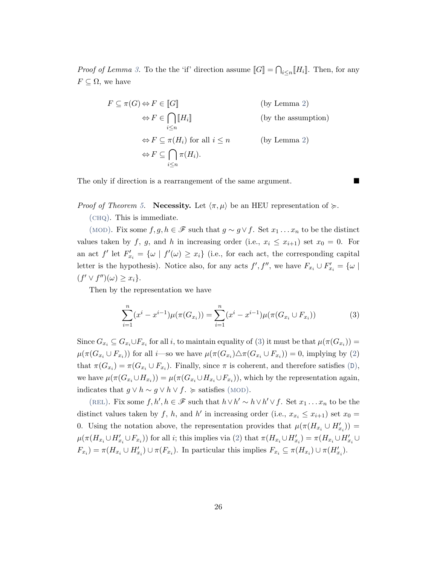*Proof of Lemma 3*. To the the 'if' direction assume  $[[G]] = \bigcap_{i \leq n} [H_i]$ . Then, for any  $F \subseteq \Omega$ , we have

$$
F \subseteq \pi(G) \Leftrightarrow F \in [G]
$$
 (by Lemma 2)  
\n
$$
\Leftrightarrow F \in \bigcap_{i \le n} [H_i]
$$
 (by the assumption)  
\n
$$
\Leftrightarrow F \subseteq \pi(H_i) \text{ for all } i \le n
$$
 (by Lemma 2)  
\n
$$
\Leftrightarrow F \subseteq \bigcap_{i \le n} \pi(H_i).
$$

The only if direction is a rearrangement of the same argument.

*Proof of Theorem [5.](#page-18-1)* Necessity. Let  $\langle \pi, \mu \rangle$  be an HEU representation of  $\succeq$ .

([chq](#page-16-4)). This is immediate.

(MOD). Fix some  $f, g, h \in \mathscr{F}$  such that  $g \sim g \vee f$ . Set  $x_1 \dots x_n$  to be the distinct values taken by f, g, and h in increasing order (i.e.,  $x_i \leq x_{i+1}$ ) set  $x_0 = 0$ . For an act  $f'$  let  $F'_{x_i} = {\omega \mid f'(\omega) \geq x_i}$  (i.e., for each act, the corresponding capital letter is the hypothesis). Notice also, for any acts  $f', f'',$  we have  $F_{x_i} \cup F'_{x_i} = \{ \omega \mid$  $(f' \vee f'')(\omega) \geq x_i$ .

Then by the representation we have

<span id="page-25-0"></span>
$$
\sum_{i=1}^{n} (x^{i} - x^{i-1})\mu(\pi(G_{x_i})) = \sum_{i=1}^{n} (x^{i} - x^{i-1})\mu(\pi(G_{x_i} \cup F_{x_i}))
$$
(3)

Since  $G_{x_i} \subseteq G_{x_i} \cup F_{x_i}$  for all i, to maintain equality of [\(3\)](#page-25-0) it must be that  $\mu(\pi(G_{x_i})) =$  $\mu(\pi(G_{x_i} \cup F_{x_i}))$  for all *i*—so we have  $\mu(\pi(G_{x_i}) \triangle \pi(G_{x_i} \cup F_{x_i})) = 0$ , implying by [\(2\)](#page-15-2) that  $\pi(G_{x_i}) = \pi(G_{x_i} \cup F_{x_i})$ . Finally, since  $\pi$  is coherent, and therefore satisfies ([D](#page-12-3)), we have  $\mu(\pi(G_{x_i} \cup H_{x_i})) = \mu(\pi(G_{x_i} \cup H_{x_i} \cup F_{x_i}))$ , which by the representation again, indicates that  $g \lor h \sim g \lor h \lor f$ .  $\succcurlyeq$  satisfies (MOD).

(REL). Fix some  $f, h', h \in \mathscr{F}$  such that  $h \vee h' \sim h \vee h' \vee f$ . Set  $x_1 \ldots x_n$  to be the distinct values taken by f, h, and h' in increasing order (i.e.,  $x_{x_i} \leq x_{i+1}$ ) set  $x_0 =$ 0. Using the notation above, the representation provides that  $\mu(\pi(H_{x_i} \cup H'_{x_i})) =$  $\mu(\pi(H_{x_i}\cup H'_{x_i}\cup F_{x_i}))$  for all *i*; this implies via [\(2\)](#page-15-2) that  $\pi(H_{x_i}\cup H'_{x_i}) = \pi(H_{x_i}\cup H'_{x_i}\cup F_{x_i})$  $F_{x_i}$ ) =  $\pi(H_{x_i} \cup H'_{x_i}) \cup \pi(F_{x_i})$ . In particular this implies  $F_{x_i} \subseteq \pi(H_{x_i}) \cup \pi(H'_{x_i})$ .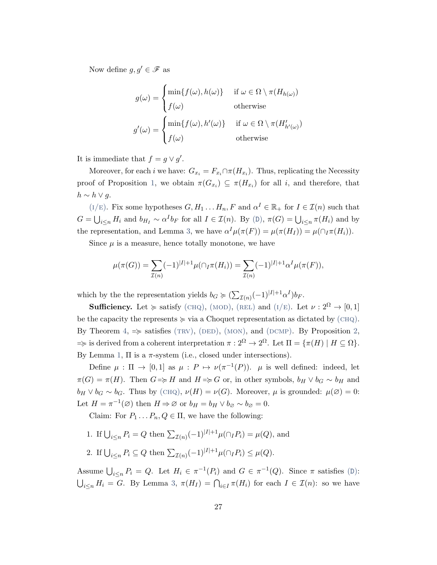Now define  $g, g' \in \mathscr{F}$  as

$$
g(\omega) = \begin{cases} \min\{f(\omega), h(\omega)\} & \text{if } \omega \in \Omega \setminus \pi(H_{h(\omega)}) \\ f(\omega) & \text{otherwise} \end{cases}
$$

$$
g'(\omega) = \begin{cases} \min\{f(\omega), h'(\omega)\} & \text{if } \omega \in \Omega \setminus \pi(H'_{h'(\omega)}) \\ f(\omega) & \text{otherwise} \end{cases}
$$

It is immediate that  $f = g \vee g'$ .

Moreover, for each *i* we have:  $G_{x_i} = F_{x_i} \cap \pi(H_{x_i})$ . Thus, replicating the Necessity proof of Proposition [1,](#page-14-2) we obtain  $\pi(G_{x_i}) \subseteq \pi(H_{x_i})$  for all i, and therefore, that  $h \sim h \vee g$ .

( $I/E$ ). Fix some hypotheses  $G, H_1 \dots H_n, F$  and  $\alpha^I \in \mathbb{R}_+$  for  $I \in \mathcal{I}(n)$  such that  $G = \bigcup_{i \leq n} H_i$  and  $b_{H_I} \sim \alpha^I b_F$  for all  $I \in \mathcal{I}(n)$ . By ([D](#page-12-3)),  $\pi(G) = \bigcup_{i \leq n} \pi(H_i)$  and by the representation, and Lemma [3,](#page-24-1) we have  $\alpha^I \mu(\pi(F)) = \mu(\pi(H_I)) = \mu(\cap_I \pi(H_i)).$ 

Since  $\mu$  is a measure, hence totally monotone, we have

$$
\mu(\pi(G)) = \sum_{\mathcal{I}(n)} (-1)^{|I|+1} \mu(\bigcap_{I} \pi(H_i)) = \sum_{\mathcal{I}(n)} (-1)^{|I|+1} \alpha^{I} \mu(\pi(F)),
$$

which by the the representation yields  $b_G \succcurlyeq (\sum_{\mathcal{I}(n)} (-1)^{|I|+1} \alpha^I) b_F$ .

**Sufficiency.** Let  $\succcurlyeq$  satisfy (CHQ), (MOD), (REL) and (I/E). Let  $\nu : 2^{\Omega} \to [0, 1]$ be the capacity the represents  $\succeq$  via a Choquet representation as dictated by  $(CHQ)$ . By Theorem [4,](#page-17-3)  $\Rightarrow$  satisfies (TRV), (DED), (MON), and (DCMP). By Proposition [2,](#page-14-3)  $\Rightarrow$  is derived from a coherent interpretation  $\pi : 2^{\Omega} \to 2^{\Omega}$ . Let  $\Pi = \{\pi(H) \mid H \subseteq \Omega\}$ . By Lemma [1,](#page-24-0)  $\Pi$  is a  $\pi$ -system (i.e., closed under intersections).

Define  $\mu : \Pi \to [0,1]$  as  $\mu : P \mapsto \nu(\pi^{-1}(P))$ .  $\mu$  is well defined: indeed, let  $\pi(G) = \pi(H)$ . Then  $G \Rightarrow H$  and  $H \Rightarrow G$  or, in other symbols,  $b_H \lor b_G \sim b_H$  and  $b_H \vee b_G \sim b_G$ . Thus by (CHQ),  $\nu(H) = \nu(G)$ . Moreover,  $\mu$  is grounded:  $\mu(\varnothing) = 0$ : Let  $H = \pi^{-1}(\varnothing)$  then  $H \Rightarrow \varnothing$  or  $b_H = b_H \vee b_\varnothing \sim b_\varnothing = 0$ .

Claim: For  $P_1 \ldots P_n$ ,  $Q \in \Pi$ , we have the following:

1. If  $\bigcup_{i \leq n} P_i = Q$  then  $\sum_{\mathcal{I}(n)} (-1)^{|I|+1} \mu(\bigcap_{I} P_i) = \mu(Q)$ , and

2. If 
$$
\bigcup_{i \leq n} P_i \subseteq Q
$$
 then  $\sum_{\mathcal{I}(n)} (-1)^{|I|+1} \mu(\bigcap_{I} P_i) \leq \mu(Q).$ 

Assume  $\bigcup_{i\leq n} P_i = Q$ . Let  $H_i \in \pi^{-1}(P_i)$  and  $G \in \pi^{-1}(Q)$ . Since  $\pi$  satisfies ([D](#page-12-3)):  $\bigcup_{i\leq n} H_i = G$ . By Lemma [3,](#page-24-1)  $\pi(H_I) = \bigcap_{i\in I} \pi(H_i)$  for each  $I \in \mathcal{I}(n)$ : so we have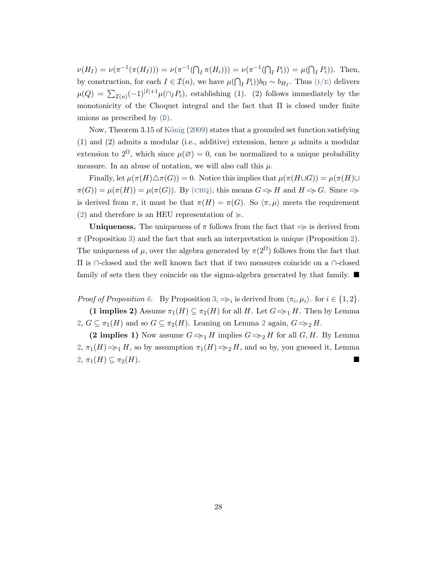$\nu(H_I) = \nu(\pi^{-1}(\pi(H_I))) = \nu(\pi^{-1}(\bigcap_I \pi(H_i))) = \nu(\pi^{-1}(\bigcap_I P_i)) = \mu(\bigcap_I P_i)).$  Then, by construction, for each  $I \in \mathcal{I}(n)$ , we have  $\mu(\bigcap_I P_i))b_{\Omega} \sim b_{H_I}$ . Thus  $(I/E)$  delivers  $\mu(Q) = \sum_{\mathcal{I}(n)} (-1)^{|I|+1} \mu(\bigcap_{I} P_i)$ , establishing (1). (2) follows immediately by the monotonicity of the Choquet integral and the fact that Π is closed under finite unions as prescribed by ([D](#page-12-3)).

Now, Theorem 3.15 of König [\(2009\)](#page-28-14) states that a grounded set function satisfying (1) and (2) admits a modular (i.e., additive) extension, hence  $\mu$  admits a modular extension to  $2^{\Omega}$ , which since  $\mu(\emptyset) = 0$ , can be normalized to a unique probability measure. In an abuse of notation, we will also call this  $\mu$ .

Finally, let  $\mu(\pi(H)\triangle \pi(G)) = 0$ . Notice this implies that  $\mu(\pi(H\cup G)) = \mu(\pi(H)\cup$  $\pi(G) = \mu(\pi(H)) = \mu(\pi(G))$ . By (CHQ), this means  $G \Rightarrow H$  and  $H \Rightarrow G$ . Since  $\Rightarrow$ is derived from  $\pi$ , it must be that  $\pi(H) = \pi(G)$ . So  $\langle \pi, \mu \rangle$  meets the requirement [\(2\)](#page-15-2) and therefore is an HEU representation of  $\succeq$ .

**Uniqueness.** The uniqueness of  $\pi$  follows from the fact that  $\Rightarrow$  is derived from  $\pi$  (Proposition [3\)](#page-16-5) and the fact that such an interpretation is unique (Proposition [2\)](#page-14-3). The uniqueness of  $\mu$ , over the algebra generated by  $\pi(2^{\Omega})$  follows from the fact that Π is ∩-closed and the well known fact that if two measures coincide on a ∩-closed family of sets then they coincide on the sigma-algebra generated by that family.  $\blacksquare$ 

Proof of Proposition [6.](#page-19-1) By Proposition [3,](#page-16-5)  $\Rightarrow_i$  is derived from  $\langle \pi_i, \mu_i \rangle$ . for  $i \in \{1, 2\}$ . (1 implies 2) Assume  $\pi_1(H) \subseteq \pi_2(H)$  for all H. Let  $G \Rightarrow H$ . Then by Lemma  $2, G \subseteq \pi_1(H)$  $2, G \subseteq \pi_1(H)$  and so  $G \subseteq \pi_2(H)$  $G \subseteq \pi_2(H)$  $G \subseteq \pi_2(H)$ . Leaning on Lemma 2 again,  $G \Rightarrow g H$ .

(2 implies 1) Now assume  $G \Rightarrow H$  implies  $G \Rightarrow H$  for all  $G, H$ . By Lemma  $2, \pi_1(H) = \geq 1$  $2, \pi_1(H) = \geq 1$  H, so by assumption  $\pi_1(H) = \geq 2$  H, and so by, you guessed it, Lemma  $2, \pi_1(H) \subseteq \pi_2(H)$  $2, \pi_1(H) \subseteq \pi_2(H)$ .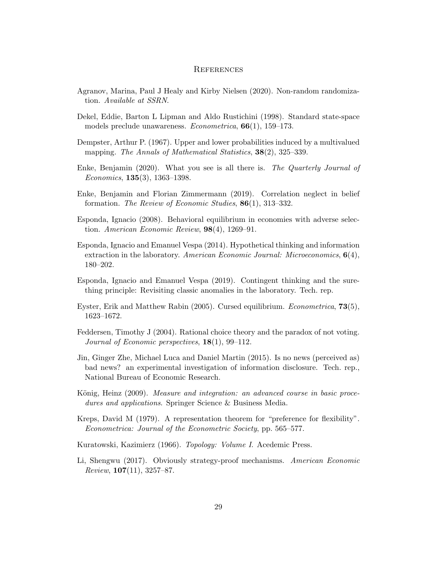## **REFERENCES**

- <span id="page-28-6"></span>Agranov, Marina, Paul J Healy and Kirby Nielsen (2020). Non-random randomization. Available at SSRN.
- <span id="page-28-10"></span>Dekel, Eddie, Barton L Lipman and Aldo Rustichini (1998). Standard state-space models preclude unawareness. Econometrica, 66(1), 159–173.
- <span id="page-28-12"></span>Dempster, Arthur P. (1967). Upper and lower probabilities induced by a multivalued mapping. The Annals of Mathematical Statistics, **38**(2), 325–339.
- <span id="page-28-5"></span>Enke, Benjamin (2020). What you see is all there is. The Quarterly Journal of Economics, 135(3), 1363–1398.
- <span id="page-28-4"></span>Enke, Benjamin and Florian Zimmermann (2019). Correlation neglect in belief formation. The Review of Economic Studies, 86(1), 313–332.
- <span id="page-28-9"></span>Esponda, Ignacio (2008). Behavioral equilibrium in economies with adverse selection. American Economic Review, 98(4), 1269–91.
- <span id="page-28-2"></span>Esponda, Ignacio and Emanuel Vespa (2014). Hypothetical thinking and information extraction in the laboratory. American Economic Journal: Microeconomics,  $6(4)$ , 180–202.
- <span id="page-28-7"></span>Esponda, Ignacio and Emanuel Vespa (2019). Contingent thinking and the surething principle: Revisiting classic anomalies in the laboratory. Tech. rep.
- <span id="page-28-8"></span>Eyster, Erik and Matthew Rabin (2005). Cursed equilibrium. Econometrica, 73(5), 1623–1672.
- <span id="page-28-1"></span>Feddersen, Timothy J (2004). Rational choice theory and the paradox of not voting. Journal of Economic perspectives, 18(1), 99–112.
- <span id="page-28-3"></span>Jin, Ginger Zhe, Michael Luca and Daniel Martin (2015). Is no news (perceived as) bad news? an experimental investigation of information disclosure. Tech. rep., National Bureau of Economic Research.
- <span id="page-28-14"></span>König, Heinz (2009). *Measure and integration: an advanced course in basic proce*dures and applications. Springer Science & Business Media.
- <span id="page-28-11"></span>Kreps, David M (1979). A representation theorem for "preference for flexibility". Econometrica: Journal of the Econometric Society, pp. 565–577.
- <span id="page-28-13"></span>Kuratowski, Kazimierz (1966). Topology: Volume I. Acedemic Press.
- <span id="page-28-0"></span>Li, Shengwu (2017). Obviously strategy-proof mechanisms. American Economic  $Review, 107(11), 3257-87.$